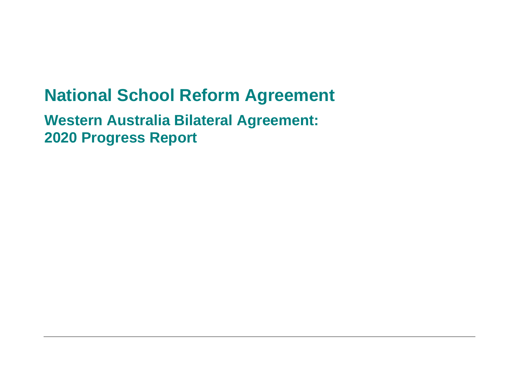# **National School Reform Agreement**

**Western Australia Bilateral Agreement: 2020 Progress Report**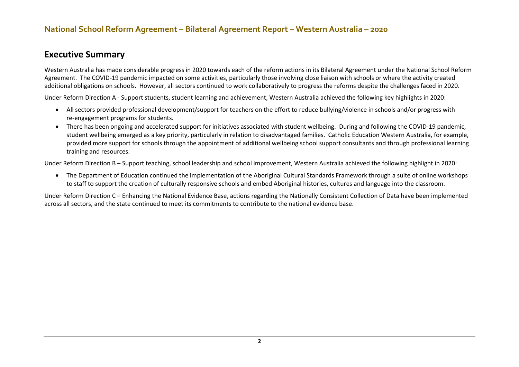#### **Executive Summary**

Western Australia has made considerable progress in 2020 towards each of the reform actions in its Bilateral Agreement under the National School Reform Agreement. The COVID-19 pandemic impacted on some activities, particularly those involving close liaison with schools or where the activity created additional obligations on schools. However, all sectors continued to work collaboratively to progress the reforms despite the challenges faced in 2020.

Under Reform Direction A - Support students, student learning and achievement, Western Australia achieved the following key highlights in 2020:

- All sectors provided professional development/support for teachers on the effort to reduce bullying/violence in schools and/or progress with re-engagement programs for students.
- There has been ongoing and accelerated support for initiatives associated with student wellbeing. During and following the COVID-19 pandemic, student wellbeing emerged as a key priority, particularly in relation to disadvantaged families. Catholic Education Western Australia, for example, provided more support for schools through the appointment of additional wellbeing school support consultants and through professional learning training and resources.

Under Reform Direction B – Support teaching, school leadership and school improvement, Western Australia achieved the following highlight in 2020:

• The Department of Education continued the implementation of the Aboriginal Cultural Standards Framework through a suite of online workshops to staff to support the creation of culturally responsive schools and embed Aboriginal histories, cultures and language into the classroom.

Under Reform Direction C – Enhancing the National Evidence Base, actions regarding the Nationally Consistent Collection of Data have been implemented across all sectors, and the state continued to meet its commitments to contribute to the national evidence base.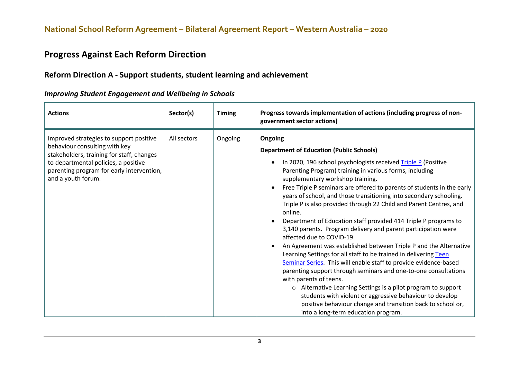#### **Progress Against Each Reform Direction**

#### **Reform Direction A - Support students, student learning and achievement**

| <b>Actions</b>                                                                                                                                                                                                                   | Sector(s)   | <b>Timing</b> | Progress towards implementation of actions (including progress of non-<br>government sector actions)                                                                                                                                                                                                                                                                                                                                                                                                                                                                                                                                                                                                                                                                                                                                                                                                                                                                                                                                                                                                                                                                                                                   |
|----------------------------------------------------------------------------------------------------------------------------------------------------------------------------------------------------------------------------------|-------------|---------------|------------------------------------------------------------------------------------------------------------------------------------------------------------------------------------------------------------------------------------------------------------------------------------------------------------------------------------------------------------------------------------------------------------------------------------------------------------------------------------------------------------------------------------------------------------------------------------------------------------------------------------------------------------------------------------------------------------------------------------------------------------------------------------------------------------------------------------------------------------------------------------------------------------------------------------------------------------------------------------------------------------------------------------------------------------------------------------------------------------------------------------------------------------------------------------------------------------------------|
| Improved strategies to support positive<br>behaviour consulting with key<br>stakeholders, training for staff, changes<br>to departmental policies, a positive<br>parenting program for early intervention,<br>and a youth forum. | All sectors | Ongoing       | Ongoing<br><b>Department of Education (Public Schools)</b><br>In 2020, 196 school psychologists received Triple P (Positive<br>Parenting Program) training in various forms, including<br>supplementary workshop training.<br>Free Triple P seminars are offered to parents of students in the early<br>$\bullet$<br>years of school, and those transitioning into secondary schooling.<br>Triple P is also provided through 22 Child and Parent Centres, and<br>online.<br>Department of Education staff provided 414 Triple P programs to<br>$\bullet$<br>3,140 parents. Program delivery and parent participation were<br>affected due to COVID-19.<br>An Agreement was established between Triple P and the Alternative<br>$\bullet$<br>Learning Settings for all staff to be trained in delivering Teen<br>Seminar Series. This will enable staff to provide evidence-based<br>parenting support through seminars and one-to-one consultations<br>with parents of teens.<br>$\circ$ Alternative Learning Settings is a pilot program to support<br>students with violent or aggressive behaviour to develop<br>positive behaviour change and transition back to school or,<br>into a long-term education program. |

#### *Improving Student Engagement and Wellbeing in Schools*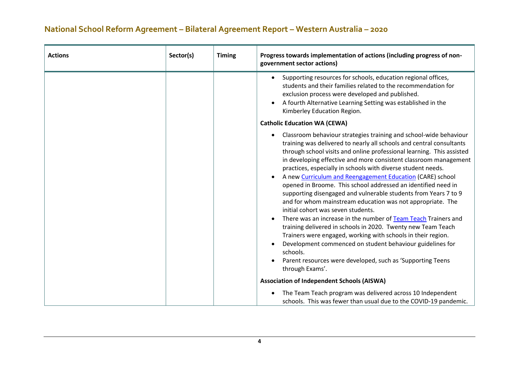| <b>Actions</b> | Sector(s) | <b>Timing</b> | Progress towards implementation of actions (including progress of non-<br>government sector actions)                                                                                                                                                                                                                                                                                                                                                                                                                                                                                                                                                                                                                                                                                                                                                                                                                                                                                                                    |
|----------------|-----------|---------------|-------------------------------------------------------------------------------------------------------------------------------------------------------------------------------------------------------------------------------------------------------------------------------------------------------------------------------------------------------------------------------------------------------------------------------------------------------------------------------------------------------------------------------------------------------------------------------------------------------------------------------------------------------------------------------------------------------------------------------------------------------------------------------------------------------------------------------------------------------------------------------------------------------------------------------------------------------------------------------------------------------------------------|
|                |           |               | Supporting resources for schools, education regional offices,<br>$\bullet$<br>students and their families related to the recommendation for<br>exclusion process were developed and published.<br>A fourth Alternative Learning Setting was established in the<br>Kimberley Education Region.                                                                                                                                                                                                                                                                                                                                                                                                                                                                                                                                                                                                                                                                                                                           |
|                |           |               | <b>Catholic Education WA (CEWA)</b>                                                                                                                                                                                                                                                                                                                                                                                                                                                                                                                                                                                                                                                                                                                                                                                                                                                                                                                                                                                     |
|                |           |               | Classroom behaviour strategies training and school-wide behaviour<br>training was delivered to nearly all schools and central consultants<br>through school visits and online professional learning. This assisted<br>in developing effective and more consistent classroom management<br>practices, especially in schools with diverse student needs.<br>A new Curriculum and Reengagement Education (CARE) school<br>opened in Broome. This school addressed an identified need in<br>supporting disengaged and vulnerable students from Years 7 to 9<br>and for whom mainstream education was not appropriate. The<br>initial cohort was seven students.<br>There was an increase in the number of Team Teach Trainers and<br>training delivered in schools in 2020. Twenty new Team Teach<br>Trainers were engaged, working with schools in their region.<br>Development commenced on student behaviour guidelines for<br>schools.<br>Parent resources were developed, such as 'Supporting Teens<br>through Exams'. |
|                |           |               | <b>Association of Independent Schools (AISWA)</b>                                                                                                                                                                                                                                                                                                                                                                                                                                                                                                                                                                                                                                                                                                                                                                                                                                                                                                                                                                       |
|                |           |               | The Team Teach program was delivered across 10 Independent<br>schools. This was fewer than usual due to the COVID-19 pandemic.                                                                                                                                                                                                                                                                                                                                                                                                                                                                                                                                                                                                                                                                                                                                                                                                                                                                                          |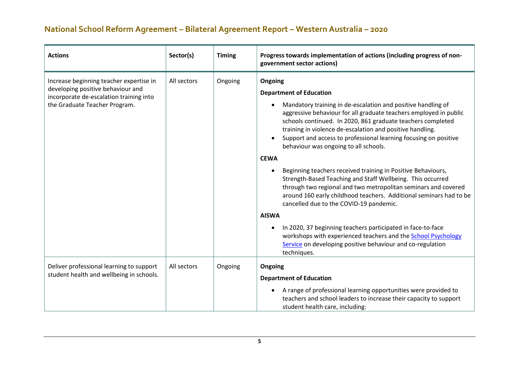| <b>Actions</b>                                                                                                                                           | Sector(s)   | <b>Timing</b> | Progress towards implementation of actions (including progress of non-<br>government sector actions)                                                                                                                                                                                                                                                                                                                                                                                                                                                                                                                                                                                                                                                                                                                                                                                                                                                                                        |
|----------------------------------------------------------------------------------------------------------------------------------------------------------|-------------|---------------|---------------------------------------------------------------------------------------------------------------------------------------------------------------------------------------------------------------------------------------------------------------------------------------------------------------------------------------------------------------------------------------------------------------------------------------------------------------------------------------------------------------------------------------------------------------------------------------------------------------------------------------------------------------------------------------------------------------------------------------------------------------------------------------------------------------------------------------------------------------------------------------------------------------------------------------------------------------------------------------------|
| Increase beginning teacher expertise in<br>developing positive behaviour and<br>incorporate de-escalation training into<br>the Graduate Teacher Program. | All sectors | Ongoing       | Ongoing<br><b>Department of Education</b><br>Mandatory training in de-escalation and positive handling of<br>aggressive behaviour for all graduate teachers employed in public<br>schools continued. In 2020, 861 graduate teachers completed<br>training in violence de-escalation and positive handling.<br>Support and access to professional learning focusing on positive<br>behaviour was ongoing to all schools.<br><b>CEWA</b><br>Beginning teachers received training in Positive Behaviours,<br>Strength-Based Teaching and Staff Wellbeing. This occurred<br>through two regional and two metropolitan seminars and covered<br>around 160 early childhood teachers. Additional seminars had to be<br>cancelled due to the COVID-19 pandemic.<br><b>AISWA</b><br>In 2020, 37 beginning teachers participated in face-to-face<br>workshops with experienced teachers and the <b>School Psychology</b><br>Service on developing positive behaviour and co-regulation<br>techniques. |
| Deliver professional learning to support<br>student health and wellbeing in schools.                                                                     | All sectors | Ongoing       | Ongoing<br><b>Department of Education</b><br>A range of professional learning opportunities were provided to<br>teachers and school leaders to increase their capacity to support<br>student health care, including:                                                                                                                                                                                                                                                                                                                                                                                                                                                                                                                                                                                                                                                                                                                                                                        |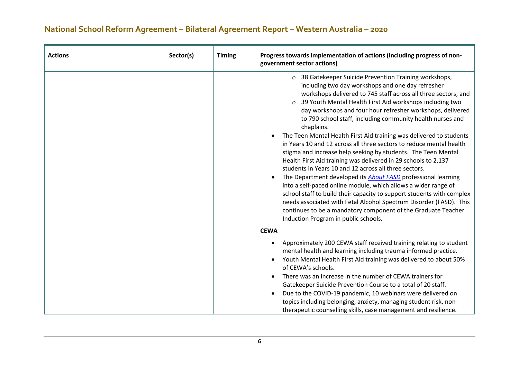| <b>Actions</b> | Sector(s) | <b>Timing</b> | Progress towards implementation of actions (including progress of non-<br>government sector actions)                                                                                                                                                                                                                                                                                                                                                                                                                                                                                                                                                                                                                                                                                                                                                                                                                                                                                                                                                                                                                                       |
|----------------|-----------|---------------|--------------------------------------------------------------------------------------------------------------------------------------------------------------------------------------------------------------------------------------------------------------------------------------------------------------------------------------------------------------------------------------------------------------------------------------------------------------------------------------------------------------------------------------------------------------------------------------------------------------------------------------------------------------------------------------------------------------------------------------------------------------------------------------------------------------------------------------------------------------------------------------------------------------------------------------------------------------------------------------------------------------------------------------------------------------------------------------------------------------------------------------------|
|                |           |               | o 38 Gatekeeper Suicide Prevention Training workshops,<br>including two day workshops and one day refresher<br>workshops delivered to 745 staff across all three sectors; and<br>39 Youth Mental Health First Aid workshops including two<br>$\circ$<br>day workshops and four hour refresher workshops, delivered<br>to 790 school staff, including community health nurses and<br>chaplains.<br>The Teen Mental Health First Aid training was delivered to students<br>in Years 10 and 12 across all three sectors to reduce mental health<br>stigma and increase help seeking by students. The Teen Mental<br>Health First Aid training was delivered in 29 schools to 2,137<br>students in Years 10 and 12 across all three sectors.<br>The Department developed its <b>About FASD</b> professional learning<br>into a self-paced online module, which allows a wider range of<br>school staff to build their capacity to support students with complex<br>needs associated with Fetal Alcohol Spectrum Disorder (FASD). This<br>continues to be a mandatory component of the Graduate Teacher<br>Induction Program in public schools. |
|                |           |               | <b>CEWA</b><br>Approximately 200 CEWA staff received training relating to student<br>mental health and learning including trauma informed practice.<br>Youth Mental Health First Aid training was delivered to about 50%<br>of CEWA's schools.<br>There was an increase in the number of CEWA trainers for<br>Gatekeeper Suicide Prevention Course to a total of 20 staff.<br>Due to the COVID-19 pandemic, 10 webinars were delivered on<br>topics including belonging, anxiety, managing student risk, non-<br>therapeutic counselling skills, case management and resilience.                                                                                                                                                                                                                                                                                                                                                                                                                                                                                                                                                           |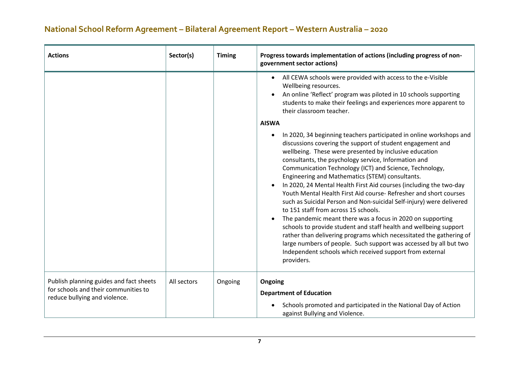| <b>Actions</b>                                                                                                   | Sector(s)   | <b>Timing</b> | Progress towards implementation of actions (including progress of non-<br>government sector actions)                                                                                                                                                                                                                                                                                                                                                                                                                                                                                                                                                                                                                                                                                                                                                                                                                                                                                                 |
|------------------------------------------------------------------------------------------------------------------|-------------|---------------|------------------------------------------------------------------------------------------------------------------------------------------------------------------------------------------------------------------------------------------------------------------------------------------------------------------------------------------------------------------------------------------------------------------------------------------------------------------------------------------------------------------------------------------------------------------------------------------------------------------------------------------------------------------------------------------------------------------------------------------------------------------------------------------------------------------------------------------------------------------------------------------------------------------------------------------------------------------------------------------------------|
|                                                                                                                  |             |               | All CEWA schools were provided with access to the e-Visible<br>$\bullet$<br>Wellbeing resources.<br>An online 'Reflect' program was piloted in 10 schools supporting<br>students to make their feelings and experiences more apparent to<br>their classroom teacher.                                                                                                                                                                                                                                                                                                                                                                                                                                                                                                                                                                                                                                                                                                                                 |
|                                                                                                                  |             |               | <b>AISWA</b><br>In 2020, 34 beginning teachers participated in online workshops and<br>discussions covering the support of student engagement and<br>wellbeing. These were presented by inclusive education<br>consultants, the psychology service, Information and<br>Communication Technology (ICT) and Science, Technology,<br>Engineering and Mathematics (STEM) consultants.<br>In 2020, 24 Mental Health First Aid courses (including the two-day<br>Youth Mental Health First Aid course-Refresher and short courses<br>such as Suicidal Person and Non-suicidal Self-injury) were delivered<br>to 151 staff from across 15 schools.<br>The pandemic meant there was a focus in 2020 on supporting<br>schools to provide student and staff health and wellbeing support<br>rather than delivering programs which necessitated the gathering of<br>large numbers of people. Such support was accessed by all but two<br>Independent schools which received support from external<br>providers. |
| Publish planning guides and fact sheets<br>for schools and their communities to<br>reduce bullying and violence. | All sectors | Ongoing       | Ongoing<br><b>Department of Education</b><br>Schools promoted and participated in the National Day of Action<br>against Bullying and Violence.                                                                                                                                                                                                                                                                                                                                                                                                                                                                                                                                                                                                                                                                                                                                                                                                                                                       |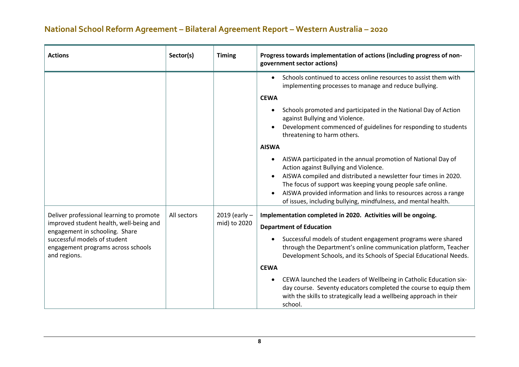| <b>Actions</b>                                                                     | Sector(s)   | <b>Timing</b>   | Progress towards implementation of actions (including progress of non-<br>government sector actions)                                                                                                                                 |
|------------------------------------------------------------------------------------|-------------|-----------------|--------------------------------------------------------------------------------------------------------------------------------------------------------------------------------------------------------------------------------------|
|                                                                                    |             |                 | Schools continued to access online resources to assist them with<br>$\bullet$<br>implementing processes to manage and reduce bullying.                                                                                               |
|                                                                                    |             |                 | <b>CEWA</b>                                                                                                                                                                                                                          |
|                                                                                    |             |                 | Schools promoted and participated in the National Day of Action<br>$\bullet$<br>against Bullying and Violence.                                                                                                                       |
|                                                                                    |             |                 | Development commenced of guidelines for responding to students<br>threatening to harm others.                                                                                                                                        |
|                                                                                    |             |                 | <b>AISWA</b>                                                                                                                                                                                                                         |
|                                                                                    |             |                 | AISWA participated in the annual promotion of National Day of<br>Action against Bullying and Violence.                                                                                                                               |
|                                                                                    |             |                 | AISWA compiled and distributed a newsletter four times in 2020.<br>The focus of support was keeping young people safe online.                                                                                                        |
|                                                                                    |             |                 | AISWA provided information and links to resources across a range<br>of issues, including bullying, mindfulness, and mental health.                                                                                                   |
| Deliver professional learning to promote                                           | All sectors | 2019 (early $-$ | Implementation completed in 2020. Activities will be ongoing.                                                                                                                                                                        |
| improved student health, well-being and<br>engagement in schooling. Share          |             | mid) to 2020    | <b>Department of Education</b>                                                                                                                                                                                                       |
| successful models of student<br>engagement programs across schools<br>and regions. |             |                 | Successful models of student engagement programs were shared<br>through the Department's online communication platform, Teacher<br>Development Schools, and its Schools of Special Educational Needs.                                |
|                                                                                    |             |                 | <b>CEWA</b>                                                                                                                                                                                                                          |
|                                                                                    |             |                 | CEWA launched the Leaders of Wellbeing in Catholic Education six-<br>$\bullet$<br>day course. Seventy educators completed the course to equip them<br>with the skills to strategically lead a wellbeing approach in their<br>school. |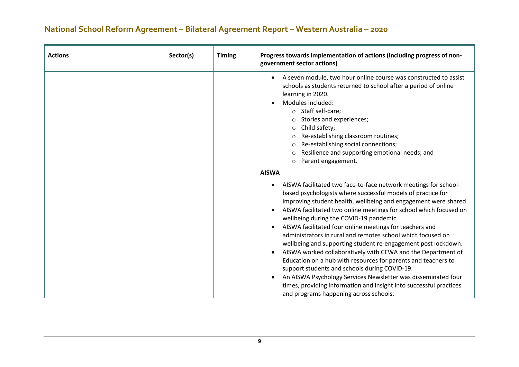| <b>Actions</b> | Sector(s) | <b>Timing</b> | Progress towards implementation of actions (including progress of non-<br>government sector actions)                                                                                                                                                                                                                                                                                                                                                                                                                                                                                                                                                                                                                                                                                                                                                                                              |
|----------------|-----------|---------------|---------------------------------------------------------------------------------------------------------------------------------------------------------------------------------------------------------------------------------------------------------------------------------------------------------------------------------------------------------------------------------------------------------------------------------------------------------------------------------------------------------------------------------------------------------------------------------------------------------------------------------------------------------------------------------------------------------------------------------------------------------------------------------------------------------------------------------------------------------------------------------------------------|
|                |           |               | A seven module, two hour online course was constructed to assist<br>schools as students returned to school after a period of online<br>learning in 2020.<br>Modules included:<br>o Staff self-care;<br>Stories and experiences;<br>Child safety;<br>$\circ$<br>Re-establishing classroom routines;<br>Re-establishing social connections;<br>Resilience and supporting emotional needs; and<br>Parent engagement.<br>$\circ$                                                                                                                                                                                                                                                                                                                                                                                                                                                                      |
|                |           |               | <b>AISWA</b>                                                                                                                                                                                                                                                                                                                                                                                                                                                                                                                                                                                                                                                                                                                                                                                                                                                                                      |
|                |           |               | AISWA facilitated two face-to-face network meetings for school-<br>based psychologists where successful models of practice for<br>improving student health, wellbeing and engagement were shared.<br>AISWA facilitated two online meetings for school which focused on<br>٠<br>wellbeing during the COVID-19 pandemic.<br>AISWA facilitated four online meetings for teachers and<br>$\bullet$<br>administrators in rural and remotes school which focused on<br>wellbeing and supporting student re-engagement post lockdown.<br>AISWA worked collaboratively with CEWA and the Department of<br>Education on a hub with resources for parents and teachers to<br>support students and schools during COVID-19.<br>An AISWA Psychology Services Newsletter was disseminated four<br>times, providing information and insight into successful practices<br>and programs happening across schools. |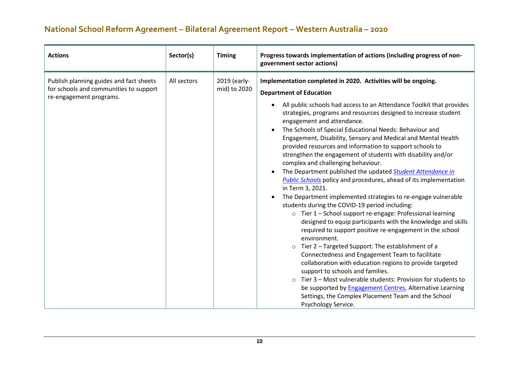| <b>Actions</b>                                                                                               | Sector(s)   | <b>Timing</b>                | Progress towards implementation of actions (including progress of non-<br>government sector actions)                                                                                                                                                                                                                                                                                                                                                                                                                                                                                                                                                                                                                                                                                                                                                                                                                                                                                                                                                                                                                                                                                                                                                                                                                                                                                                                                                                                                                            |
|--------------------------------------------------------------------------------------------------------------|-------------|------------------------------|---------------------------------------------------------------------------------------------------------------------------------------------------------------------------------------------------------------------------------------------------------------------------------------------------------------------------------------------------------------------------------------------------------------------------------------------------------------------------------------------------------------------------------------------------------------------------------------------------------------------------------------------------------------------------------------------------------------------------------------------------------------------------------------------------------------------------------------------------------------------------------------------------------------------------------------------------------------------------------------------------------------------------------------------------------------------------------------------------------------------------------------------------------------------------------------------------------------------------------------------------------------------------------------------------------------------------------------------------------------------------------------------------------------------------------------------------------------------------------------------------------------------------------|
| Publish planning guides and fact sheets<br>for schools and communities to support<br>re-engagement programs. | All sectors | 2019 (early-<br>mid) to 2020 | Implementation completed in 2020. Activities will be ongoing.<br><b>Department of Education</b><br>All public schools had access to an Attendance Toolkit that provides<br>strategies, programs and resources designed to increase student<br>engagement and attendance.<br>The Schools of Special Educational Needs: Behaviour and<br>$\bullet$<br>Engagement, Disability, Sensory and Medical and Mental Health<br>provided resources and information to support schools to<br>strengthen the engagement of students with disability and/or<br>complex and challenging behaviour.<br>The Department published the updated Student Attendance in<br><b>Public Schools policy and procedures, ahead of its implementation</b><br>in Term 3, 2021.<br>The Department implemented strategies to re-engage vulnerable<br>students during the COVID-19 period including:<br>o Tier 1 - School support re-engage: Professional learning<br>designed to equip participants with the knowledge and skills<br>required to support positive re-engagement in the school<br>environment.<br>Tier 2 - Targeted Support: The establishment of a<br>$\circ$<br>Connectedness and Engagement Team to facilitate<br>collaboration with education regions to provide targeted<br>support to schools and families.<br>Tier 3 - Most vulnerable students: Provision for students to<br>$\Omega$<br>be supported by <b>Engagement Centres</b> , Alternative Learning<br>Settings, the Complex Placement Team and the School<br>Psychology Service. |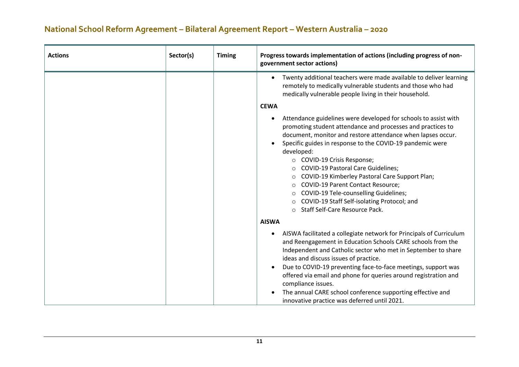| <b>Actions</b> | Sector(s) | <b>Timing</b> | Progress towards implementation of actions (including progress of non-<br>government sector actions)                                                                                                                                                                                                                                                                                                                                                                                                                                                                                                                                             |
|----------------|-----------|---------------|--------------------------------------------------------------------------------------------------------------------------------------------------------------------------------------------------------------------------------------------------------------------------------------------------------------------------------------------------------------------------------------------------------------------------------------------------------------------------------------------------------------------------------------------------------------------------------------------------------------------------------------------------|
|                |           |               | Twenty additional teachers were made available to deliver learning<br>$\bullet$<br>remotely to medically vulnerable students and those who had<br>medically vulnerable people living in their household.                                                                                                                                                                                                                                                                                                                                                                                                                                         |
|                |           |               | <b>CEWA</b>                                                                                                                                                                                                                                                                                                                                                                                                                                                                                                                                                                                                                                      |
|                |           |               | Attendance guidelines were developed for schools to assist with<br>promoting student attendance and processes and practices to<br>document, monitor and restore attendance when lapses occur.<br>Specific guides in response to the COVID-19 pandemic were<br>developed:<br>○ COVID-19 Crisis Response;<br><b>COVID-19 Pastoral Care Guidelines;</b><br>$\circ$<br>COVID-19 Kimberley Pastoral Care Support Plan;<br>$\circ$<br><b>COVID-19 Parent Contact Resource;</b><br>$\circ$<br>COVID-19 Tele-counselling Guidelines;<br>$\circ$<br>COVID-19 Staff Self-isolating Protocol; and<br>$\circ$<br>Staff Self-Care Resource Pack.<br>$\bigcap$ |
|                |           |               | <b>AISWA</b>                                                                                                                                                                                                                                                                                                                                                                                                                                                                                                                                                                                                                                     |
|                |           |               | AISWA facilitated a collegiate network for Principals of Curriculum<br>and Reengagement in Education Schools CARE schools from the<br>Independent and Catholic sector who met in September to share<br>ideas and discuss issues of practice.<br>Due to COVID-19 preventing face-to-face meetings, support was<br>offered via email and phone for queries around registration and<br>compliance issues.<br>The annual CARE school conference supporting effective and<br>innovative practice was deferred until 2021.                                                                                                                             |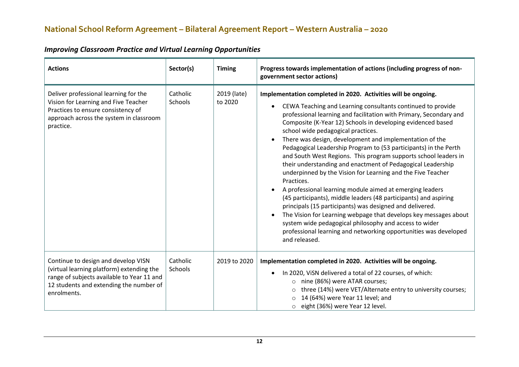| <b>Actions</b>                                                                                                                                                                           | Sector(s)           | <b>Timing</b>          | Progress towards implementation of actions (including progress of non-<br>government sector actions)                                                                                                                                                                                                                                                                                                                                                                                                                                                                                                                                                                                                                                                                                                                                                                                                                                                                                                                                                                              |
|------------------------------------------------------------------------------------------------------------------------------------------------------------------------------------------|---------------------|------------------------|-----------------------------------------------------------------------------------------------------------------------------------------------------------------------------------------------------------------------------------------------------------------------------------------------------------------------------------------------------------------------------------------------------------------------------------------------------------------------------------------------------------------------------------------------------------------------------------------------------------------------------------------------------------------------------------------------------------------------------------------------------------------------------------------------------------------------------------------------------------------------------------------------------------------------------------------------------------------------------------------------------------------------------------------------------------------------------------|
| Deliver professional learning for the<br>Vision for Learning and Five Teacher<br>Practices to ensure consistency of<br>approach across the system in classroom<br>practice.              | Catholic<br>Schools | 2019 (late)<br>to 2020 | Implementation completed in 2020. Activities will be ongoing.<br>CEWA Teaching and Learning consultants continued to provide<br>professional learning and facilitation with Primary, Secondary and<br>Composite (K-Year 12) Schools in developing evidenced based<br>school wide pedagogical practices.<br>There was design, development and implementation of the<br>Pedagogical Leadership Program to (53 participants) in the Perth<br>and South West Regions. This program supports school leaders in<br>their understanding and enactment of Pedagogical Leadership<br>underpinned by the Vision for Learning and the Five Teacher<br>Practices.<br>A professional learning module aimed at emerging leaders<br>(45 participants), middle leaders (48 participants) and aspiring<br>principals (15 participants) was designed and delivered.<br>The Vision for Learning webpage that develops key messages about<br>$\bullet$<br>system wide pedagogical philosophy and access to wider<br>professional learning and networking opportunities was developed<br>and released. |
| Continue to design and develop VISN<br>(virtual learning platform) extending the<br>range of subjects available to Year 11 and<br>12 students and extending the number of<br>enrolments. | Catholic<br>Schools | 2019 to 2020           | Implementation completed in 2020. Activities will be ongoing.<br>In 2020, ViSN delivered a total of 22 courses, of which:<br>$\bullet$<br>nine (86%) were ATAR courses;<br>$\circ$<br>three (14%) were VET/Alternate entry to university courses;<br>O<br>14 (64%) were Year 11 level; and<br>eight (36%) were Year 12 level.<br>$\circ$                                                                                                                                                                                                                                                                                                                                                                                                                                                                                                                                                                                                                                                                                                                                          |

#### *Improving Classroom Practice and Virtual Learning Opportunities*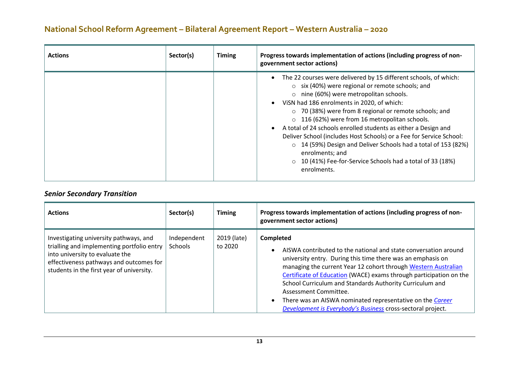| <b>Actions</b> | Sector(s) | <b>Timing</b> | Progress towards implementation of actions (including progress of non-<br>government sector actions)                                                                                                                                                                                                                                                                                                                                                                                                                                                                                                                                                              |
|----------------|-----------|---------------|-------------------------------------------------------------------------------------------------------------------------------------------------------------------------------------------------------------------------------------------------------------------------------------------------------------------------------------------------------------------------------------------------------------------------------------------------------------------------------------------------------------------------------------------------------------------------------------------------------------------------------------------------------------------|
|                |           |               | • The 22 courses were delivered by 15 different schools, of which:<br>$\circ$ six (40%) were regional or remote schools; and<br>$\circ$ nine (60%) were metropolitan schools.<br>VISN had 186 enrolments in 2020, of which:<br>○ 70 (38%) were from 8 regional or remote schools; and<br>$\circ$ 116 (62%) were from 16 metropolitan schools.<br>A total of 24 schools enrolled students as either a Design and<br>Deliver School (includes Host Schools) or a Fee for Service School:<br>o 14 (59%) Design and Deliver Schools had a total of 153 (82%)<br>enrolments; and<br>10 (41%) Fee-for-Service Schools had a total of 33 (18%)<br>$\circ$<br>enrolments. |

#### *Senior Secondary Transition*

| <b>Actions</b>                                                                                                                                                                                                  | Sector(s)                     | <b>Timing</b>          | Progress towards implementation of actions (including progress of non-<br>government sector actions)                                                                                                                                                                                                                                                                                                                                                                                                        |
|-----------------------------------------------------------------------------------------------------------------------------------------------------------------------------------------------------------------|-------------------------------|------------------------|-------------------------------------------------------------------------------------------------------------------------------------------------------------------------------------------------------------------------------------------------------------------------------------------------------------------------------------------------------------------------------------------------------------------------------------------------------------------------------------------------------------|
| Investigating university pathways, and<br>trialling and implementing portfolio entry<br>into university to evaluate the<br>effectiveness pathways and outcomes for<br>students in the first year of university. | Independent<br><b>Schools</b> | 2019 (late)<br>to 2020 | <b>Completed</b><br>AISWA contributed to the national and state conversation around<br>university entry. During this time there was an emphasis on<br>managing the current Year 12 cohort through Western Australian<br>Certificate of Education (WACE) exams through participation on the<br>School Curriculum and Standards Authority Curriculum and<br>Assessment Committee.<br>There was an AISWA nominated representative on the Career<br>Development is Everybody's Business cross-sectoral project. |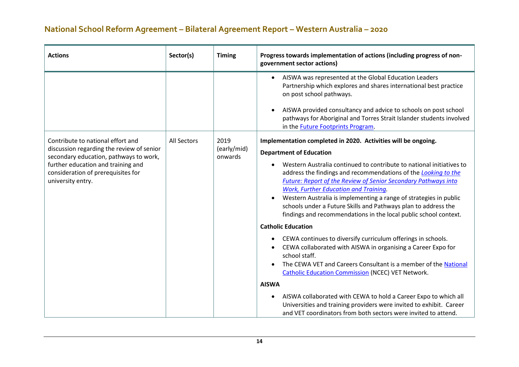| <b>Actions</b>                                                                                                                                                                                                            | Sector(s)          | <b>Timing</b>                  | Progress towards implementation of actions (including progress of non-<br>government sector actions)                                                                                                                                                                                                                                                |
|---------------------------------------------------------------------------------------------------------------------------------------------------------------------------------------------------------------------------|--------------------|--------------------------------|-----------------------------------------------------------------------------------------------------------------------------------------------------------------------------------------------------------------------------------------------------------------------------------------------------------------------------------------------------|
|                                                                                                                                                                                                                           |                    |                                | AISWA was represented at the Global Education Leaders<br>$\bullet$<br>Partnership which explores and shares international best practice<br>on post school pathways.<br>AISWA provided consultancy and advice to schools on post school<br>pathways for Aboriginal and Torres Strait Islander students involved<br>in the Future Footprints Program. |
| Contribute to national effort and<br>discussion regarding the review of senior<br>secondary education, pathways to work,<br>further education and training and<br>consideration of prerequisites for<br>university entry. | <b>All Sectors</b> | 2019<br>(early/mid)<br>onwards | Implementation completed in 2020. Activities will be ongoing.<br><b>Department of Education</b>                                                                                                                                                                                                                                                     |
|                                                                                                                                                                                                                           |                    |                                | Western Australia continued to contribute to national initiatives to<br>address the findings and recommendations of the Looking to the<br><b>Future: Report of the Review of Senior Secondary Pathways into</b><br><b>Work, Further Education and Training.</b>                                                                                     |
|                                                                                                                                                                                                                           |                    |                                | Western Australia is implementing a range of strategies in public<br>schools under a Future Skills and Pathways plan to address the<br>findings and recommendations in the local public school context.                                                                                                                                             |
|                                                                                                                                                                                                                           |                    |                                | <b>Catholic Education</b>                                                                                                                                                                                                                                                                                                                           |
|                                                                                                                                                                                                                           |                    |                                | CEWA continues to diversify curriculum offerings in schools.<br>$\bullet$<br>CEWA collaborated with AISWA in organising a Career Expo for<br>school staff.<br>The CEWA VET and Careers Consultant is a member of the National<br><b>Catholic Education Commission (NCEC) VET Network.</b>                                                           |
|                                                                                                                                                                                                                           |                    |                                | <b>AISWA</b>                                                                                                                                                                                                                                                                                                                                        |
|                                                                                                                                                                                                                           |                    |                                | AISWA collaborated with CEWA to hold a Career Expo to which all<br>$\bullet$<br>Universities and training providers were invited to exhibit. Career<br>and VET coordinators from both sectors were invited to attend.                                                                                                                               |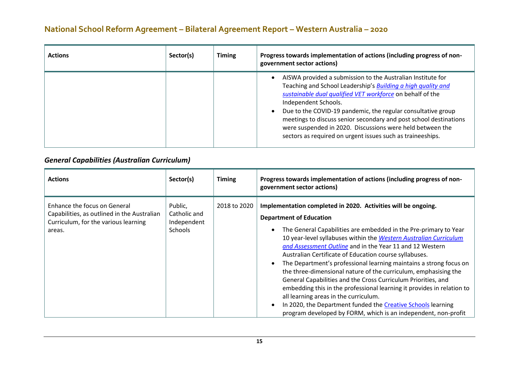| <b>Actions</b> | Sector(s) | <b>Timing</b> | Progress towards implementation of actions (including progress of non-<br>government sector actions)                                                                                                                                                                                                                                                                                                                                                                                    |
|----------------|-----------|---------------|-----------------------------------------------------------------------------------------------------------------------------------------------------------------------------------------------------------------------------------------------------------------------------------------------------------------------------------------------------------------------------------------------------------------------------------------------------------------------------------------|
|                |           |               | AISWA provided a submission to the Australian Institute for<br>Teaching and School Leadership's <b>Building a high quality and</b><br>sustainable dual qualified VET workforce on behalf of the<br>Independent Schools.<br>Due to the COVID-19 pandemic, the regular consultative group<br>meetings to discuss senior secondary and post school destinations<br>were suspended in 2020. Discussions were held between the<br>sectors as required on urgent issues such as traineeships. |

#### *General Capabilities (Australian Curriculum)*

| <b>Actions</b>                                                                                                                | Sector(s)                                         | <b>Timing</b> | Progress towards implementation of actions (including progress of non-<br>government sector actions)                                                                                                                                                                                                                                                                                                                                                                                                                                                                                                                                                                                                                                                                                                                          |
|-------------------------------------------------------------------------------------------------------------------------------|---------------------------------------------------|---------------|-------------------------------------------------------------------------------------------------------------------------------------------------------------------------------------------------------------------------------------------------------------------------------------------------------------------------------------------------------------------------------------------------------------------------------------------------------------------------------------------------------------------------------------------------------------------------------------------------------------------------------------------------------------------------------------------------------------------------------------------------------------------------------------------------------------------------------|
| Enhance the focus on General<br>Capabilities, as outlined in the Australian<br>Curriculum, for the various learning<br>areas. | Public,<br>Catholic and<br>Independent<br>Schools | 2018 to 2020  | Implementation completed in 2020. Activities will be ongoing.<br><b>Department of Education</b><br>The General Capabilities are embedded in the Pre-primary to Year<br>10 year-level syllabuses within the Western Australian Curriculum<br>and Assessment Outline and in the Year 11 and 12 Western<br>Australian Certificate of Education course syllabuses.<br>The Department's professional learning maintains a strong focus on<br>the three-dimensional nature of the curriculum, emphasising the<br>General Capabilities and the Cross Curriculum Priorities, and<br>embedding this in the professional learning it provides in relation to<br>all learning areas in the curriculum.<br>In 2020, the Department funded the Creative Schools learning<br>program developed by FORM, which is an independent, non-profit |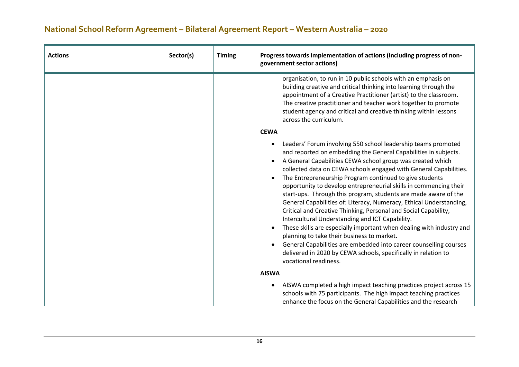| <b>Actions</b> | Sector(s) | <b>Timing</b> | Progress towards implementation of actions (including progress of non-<br>government sector actions)                                                                                                                                                                                                                                                                                                                                                                                                                                                                                                                                                                                                                                                                                                                                                                                                                                                                                     |
|----------------|-----------|---------------|------------------------------------------------------------------------------------------------------------------------------------------------------------------------------------------------------------------------------------------------------------------------------------------------------------------------------------------------------------------------------------------------------------------------------------------------------------------------------------------------------------------------------------------------------------------------------------------------------------------------------------------------------------------------------------------------------------------------------------------------------------------------------------------------------------------------------------------------------------------------------------------------------------------------------------------------------------------------------------------|
|                |           |               | organisation, to run in 10 public schools with an emphasis on<br>building creative and critical thinking into learning through the<br>appointment of a Creative Practitioner (artist) to the classroom.<br>The creative practitioner and teacher work together to promote<br>student agency and critical and creative thinking within lessons<br>across the curriculum.                                                                                                                                                                                                                                                                                                                                                                                                                                                                                                                                                                                                                  |
|                |           |               | <b>CEWA</b><br>Leaders' Forum involving 550 school leadership teams promoted<br>and reported on embedding the General Capabilities in subjects.<br>A General Capabilities CEWA school group was created which<br>collected data on CEWA schools engaged with General Capabilities.<br>The Entrepreneurship Program continued to give students<br>opportunity to develop entrepreneurial skills in commencing their<br>start-ups. Through this program, students are made aware of the<br>General Capabilities of: Literacy, Numeracy, Ethical Understanding,<br>Critical and Creative Thinking, Personal and Social Capability,<br>Intercultural Understanding and ICT Capability.<br>These skills are especially important when dealing with industry and<br>planning to take their business to market.<br>General Capabilities are embedded into career counselling courses<br>delivered in 2020 by CEWA schools, specifically in relation to<br>vocational readiness.<br><b>AISWA</b> |
|                |           |               | AISWA completed a high impact teaching practices project across 15<br>$\bullet$<br>schools with 75 participants. The high impact teaching practices<br>enhance the focus on the General Capabilities and the research                                                                                                                                                                                                                                                                                                                                                                                                                                                                                                                                                                                                                                                                                                                                                                    |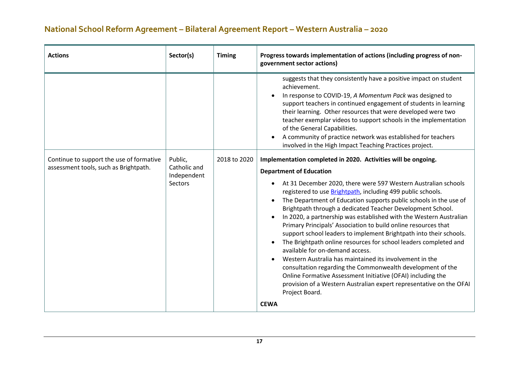| <b>Actions</b>                                                                    | Sector(s)                                         | <b>Timing</b> | Progress towards implementation of actions (including progress of non-<br>government sector actions)                                                                                                                                                                                                                                                                                                                                                                                                                                                                                                                                                                                                                                                                                                                                                                                                                                                                      |
|-----------------------------------------------------------------------------------|---------------------------------------------------|---------------|---------------------------------------------------------------------------------------------------------------------------------------------------------------------------------------------------------------------------------------------------------------------------------------------------------------------------------------------------------------------------------------------------------------------------------------------------------------------------------------------------------------------------------------------------------------------------------------------------------------------------------------------------------------------------------------------------------------------------------------------------------------------------------------------------------------------------------------------------------------------------------------------------------------------------------------------------------------------------|
|                                                                                   |                                                   |               | suggests that they consistently have a positive impact on student<br>achievement.<br>In response to COVID-19, A Momentum Pack was designed to<br>support teachers in continued engagement of students in learning<br>their learning. Other resources that were developed were two<br>teacher exemplar videos to support schools in the implementation<br>of the General Capabilities.<br>A community of practice network was established for teachers<br>involved in the High Impact Teaching Practices project.                                                                                                                                                                                                                                                                                                                                                                                                                                                          |
| Continue to support the use of formative<br>assessment tools, such as Brightpath. | Public,<br>Catholic and<br>Independent<br>Sectors | 2018 to 2020  | Implementation completed in 2020. Activities will be ongoing.<br><b>Department of Education</b><br>At 31 December 2020, there were 597 Western Australian schools<br>registered to use Brightpath, including 499 public schools.<br>The Department of Education supports public schools in the use of<br>Brightpath through a dedicated Teacher Development School.<br>In 2020, a partnership was established with the Western Australian<br>Primary Principals' Association to build online resources that<br>support school leaders to implement Brightpath into their schools.<br>The Brightpath online resources for school leaders completed and<br>available for on-demand access.<br>Western Australia has maintained its involvement in the<br>consultation regarding the Commonwealth development of the<br>Online Formative Assessment Initiative (OFAI) including the<br>provision of a Western Australian expert representative on the OFAI<br>Project Board. |
|                                                                                   |                                                   |               | <b>CEWA</b>                                                                                                                                                                                                                                                                                                                                                                                                                                                                                                                                                                                                                                                                                                                                                                                                                                                                                                                                                               |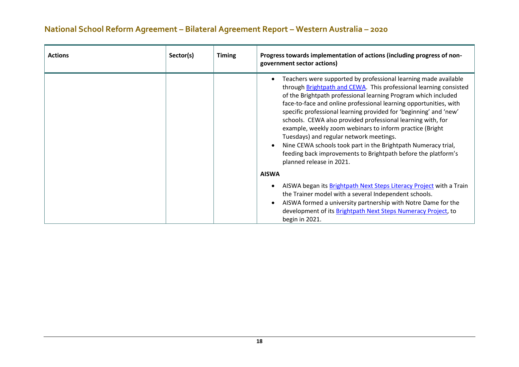| <b>Actions</b> | Sector(s) | <b>Timing</b> | Progress towards implementation of actions (including progress of non-<br>government sector actions)                                                                                                                                                                                                                                                                                                                                                                                                                                                                                                                                                                                 |
|----------------|-----------|---------------|--------------------------------------------------------------------------------------------------------------------------------------------------------------------------------------------------------------------------------------------------------------------------------------------------------------------------------------------------------------------------------------------------------------------------------------------------------------------------------------------------------------------------------------------------------------------------------------------------------------------------------------------------------------------------------------|
|                |           |               | Teachers were supported by professional learning made available<br>through Brightpath and CEWA. This professional learning consisted<br>of the Brightpath professional learning Program which included<br>face-to-face and online professional learning opportunities, with<br>specific professional learning provided for 'beginning' and 'new'<br>schools. CEWA also provided professional learning with, for<br>example, weekly zoom webinars to inform practice (Bright<br>Tuesdays) and regular network meetings.<br>Nine CEWA schools took part in the Brightpath Numeracy trial,<br>feeding back improvements to Brightpath before the platform's<br>planned release in 2021. |
|                |           |               | <b>AISWA</b>                                                                                                                                                                                                                                                                                                                                                                                                                                                                                                                                                                                                                                                                         |
|                |           |               | AISWA began its Brightpath Next Steps Literacy Project with a Train<br>the Trainer model with a several Independent schools.<br>AISWA formed a university partnership with Notre Dame for the<br>development of its Brightpath Next Steps Numeracy Project, to<br>begin in 2021.                                                                                                                                                                                                                                                                                                                                                                                                     |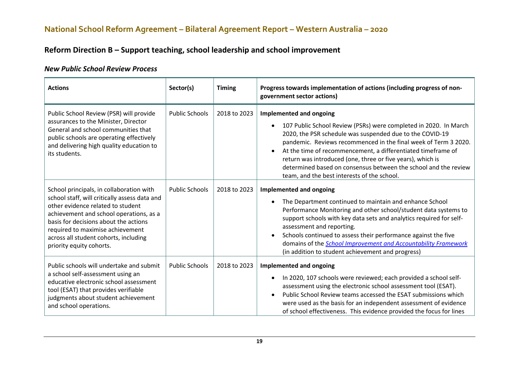#### **Reform Direction B – Support teaching, school leadership and school improvement**

#### *New Public School Review Process*

| <b>Actions</b>                                                                                                                                                                                                                                                                                                              | Sector(s)             | <b>Timing</b> | Progress towards implementation of actions (including progress of non-<br>government sector actions)                                                                                                                                                                                                                                                                                                                                                                       |
|-----------------------------------------------------------------------------------------------------------------------------------------------------------------------------------------------------------------------------------------------------------------------------------------------------------------------------|-----------------------|---------------|----------------------------------------------------------------------------------------------------------------------------------------------------------------------------------------------------------------------------------------------------------------------------------------------------------------------------------------------------------------------------------------------------------------------------------------------------------------------------|
| Public School Review (PSR) will provide<br>assurances to the Minister, Director<br>General and school communities that<br>public schools are operating effectively<br>and delivering high quality education to<br>its students.                                                                                             | <b>Public Schools</b> | 2018 to 2023  | Implemented and ongoing<br>107 Public School Review (PSRs) were completed in 2020. In March<br>2020, the PSR schedule was suspended due to the COVID-19<br>pandemic. Reviews recommenced in the final week of Term 3 2020.<br>At the time of recommencement, a differentiated timeframe of<br>return was introduced (one, three or five years), which is<br>determined based on consensus between the school and the review<br>team, and the best interests of the school. |
| School principals, in collaboration with<br>school staff, will critically assess data and<br>other evidence related to student<br>achievement and school operations, as a<br>basis for decisions about the actions<br>required to maximise achievement<br>across all student cohorts, including<br>priority equity cohorts. | <b>Public Schools</b> | 2018 to 2023  | Implemented and ongoing<br>The Department continued to maintain and enhance School<br>Performance Monitoring and other school/student data systems to<br>support schools with key data sets and analytics required for self-<br>assessment and reporting.<br>Schools continued to assess their performance against the five<br>domains of the <i>School Improvement and Accountability Framework</i><br>(in addition to student achievement and progress)                  |
| Public schools will undertake and submit<br>a school self-assessment using an<br>educative electronic school assessment<br>tool (ESAT) that provides verifiable<br>judgments about student achievement<br>and school operations.                                                                                            | <b>Public Schools</b> | 2018 to 2023  | Implemented and ongoing<br>In 2020, 107 schools were reviewed; each provided a school self-<br>assessment using the electronic school assessment tool (ESAT).<br>Public School Review teams accessed the ESAT submissions which<br>were used as the basis for an independent assessment of evidence<br>of school effectiveness. This evidence provided the focus for lines                                                                                                 |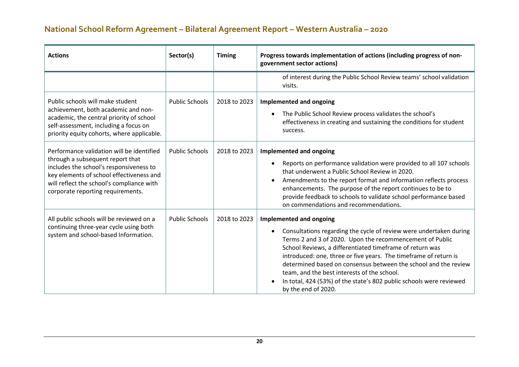| <b>Actions</b>                                                                                                                                                                                                                                         | Sector(s)             | <b>Timing</b> | Progress towards implementation of actions (including progress of non-<br>government sector actions)                                                                                                                                                                                                                                                                                                                                                                                                             |
|--------------------------------------------------------------------------------------------------------------------------------------------------------------------------------------------------------------------------------------------------------|-----------------------|---------------|------------------------------------------------------------------------------------------------------------------------------------------------------------------------------------------------------------------------------------------------------------------------------------------------------------------------------------------------------------------------------------------------------------------------------------------------------------------------------------------------------------------|
|                                                                                                                                                                                                                                                        |                       |               | of interest during the Public School Review teams' school validation<br>visits.                                                                                                                                                                                                                                                                                                                                                                                                                                  |
| Public schools will make student<br>achievement, both academic and non-<br>academic, the central priority of school<br>self-assessment, including a focus on<br>priority equity cohorts, where applicable.                                             | <b>Public Schools</b> | 2018 to 2023  | <b>Implemented and ongoing</b><br>The Public School Review process validates the school's<br>effectiveness in creating and sustaining the conditions for student<br>success.                                                                                                                                                                                                                                                                                                                                     |
| Performance validation will be identified<br>through a subsequent report that<br>includes the school's responsiveness to<br>key elements of school effectiveness and<br>will reflect the school's compliance with<br>corporate reporting requirements. | <b>Public Schools</b> | 2018 to 2023  | Implemented and ongoing<br>Reports on performance validation were provided to all 107 schools<br>that underwent a Public School Review in 2020.<br>Amendments to the report format and information reflects process<br>$\bullet$<br>enhancements. The purpose of the report continues to be to<br>provide feedback to schools to validate school performance based<br>on commendations and recommendations.                                                                                                      |
| All public schools will be reviewed on a<br>continuing three-year cycle using both<br>system and school-based Information.                                                                                                                             | <b>Public Schools</b> | 2018 to 2023  | <b>Implemented and ongoing</b><br>Consultations regarding the cycle of review were undertaken during<br>Terms 2 and 3 of 2020. Upon the recommencement of Public<br>School Reviews, a differentiated timeframe of return was<br>introduced: one, three or five years. The timeframe of return is<br>determined based on consensus between the school and the review<br>team, and the best interests of the school.<br>In total, 424 (53%) of the state's 802 public schools were reviewed<br>by the end of 2020. |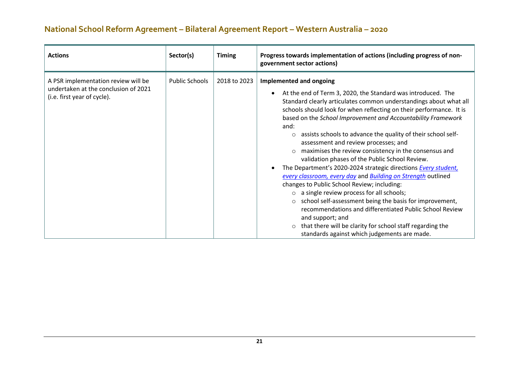| <b>Actions</b>                                                                                             | Sector(s)             | <b>Timing</b> | Progress towards implementation of actions (including progress of non-<br>government sector actions)                                                                                                                                                                                                                                                                                                                                                                                                                                                                                                                                                                                                                                                                                                                                                                                                                                                                                                                                                                   |
|------------------------------------------------------------------------------------------------------------|-----------------------|---------------|------------------------------------------------------------------------------------------------------------------------------------------------------------------------------------------------------------------------------------------------------------------------------------------------------------------------------------------------------------------------------------------------------------------------------------------------------------------------------------------------------------------------------------------------------------------------------------------------------------------------------------------------------------------------------------------------------------------------------------------------------------------------------------------------------------------------------------------------------------------------------------------------------------------------------------------------------------------------------------------------------------------------------------------------------------------------|
| A PSR implementation review will be<br>undertaken at the conclusion of 2021<br>(i.e. first year of cycle). | <b>Public Schools</b> | 2018 to 2023  | Implemented and ongoing<br>At the end of Term 3, 2020, the Standard was introduced. The<br>Standard clearly articulates common understandings about what all<br>schools should look for when reflecting on their performance. It is<br>based on the School Improvement and Accountability Framework<br>and:<br>assists schools to advance the quality of their school self-<br>$\circ$<br>assessment and review processes; and<br>maximises the review consistency in the consensus and<br>$\circ$<br>validation phases of the Public School Review.<br>The Department's 2020-2024 strategic directions Every student,<br>every classroom, every day and Building on Strength outlined<br>changes to Public School Review; including:<br>$\circ$ a single review process for all schools;<br>school self-assessment being the basis for improvement,<br>$\circ$<br>recommendations and differentiated Public School Review<br>and support; and<br>that there will be clarity for school staff regarding the<br>$\circ$<br>standards against which judgements are made. |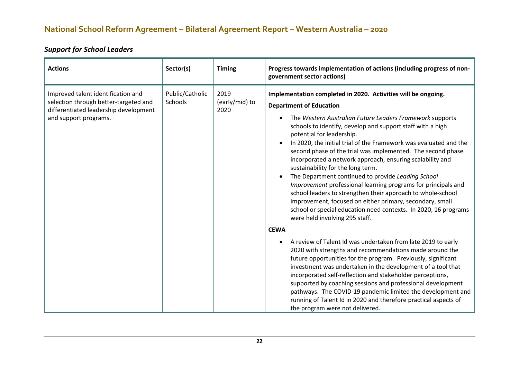#### *Support for School Leaders*

| <b>Actions</b>                                                                                                                                | Sector(s)                  | <b>Timing</b>                  | Progress towards implementation of actions (including progress of non-<br>government sector actions)                                                                                                                                                                                                                                                                                                                                                                                                                                                                                                                                                                                                                                                                                                                                                                                                                                                                                                                                                                                                                                                                                                                                                                                                                                                                                                                           |
|-----------------------------------------------------------------------------------------------------------------------------------------------|----------------------------|--------------------------------|--------------------------------------------------------------------------------------------------------------------------------------------------------------------------------------------------------------------------------------------------------------------------------------------------------------------------------------------------------------------------------------------------------------------------------------------------------------------------------------------------------------------------------------------------------------------------------------------------------------------------------------------------------------------------------------------------------------------------------------------------------------------------------------------------------------------------------------------------------------------------------------------------------------------------------------------------------------------------------------------------------------------------------------------------------------------------------------------------------------------------------------------------------------------------------------------------------------------------------------------------------------------------------------------------------------------------------------------------------------------------------------------------------------------------------|
| Improved talent identification and<br>selection through better-targeted and<br>differentiated leadership development<br>and support programs. | Public/Catholic<br>Schools | 2019<br>(early/mid) to<br>2020 | Implementation completed in 2020. Activities will be ongoing.<br><b>Department of Education</b><br>The Western Australian Future Leaders Framework supports<br>schools to identify, develop and support staff with a high<br>potential for leadership.<br>In 2020, the initial trial of the Framework was evaluated and the<br>second phase of the trial was implemented. The second phase<br>incorporated a network approach, ensuring scalability and<br>sustainability for the long term.<br>The Department continued to provide Leading School<br>Improvement professional learning programs for principals and<br>school leaders to strengthen their approach to whole-school<br>improvement, focused on either primary, secondary, small<br>school or special education need contexts. In 2020, 16 programs<br>were held involving 295 staff.<br><b>CEWA</b><br>A review of Talent Id was undertaken from late 2019 to early<br>2020 with strengths and recommendations made around the<br>future opportunities for the program. Previously, significant<br>investment was undertaken in the development of a tool that<br>incorporated self-reflection and stakeholder perceptions,<br>supported by coaching sessions and professional development<br>pathways. The COVID-19 pandemic limited the development and<br>running of Talent Id in 2020 and therefore practical aspects of<br>the program were not delivered. |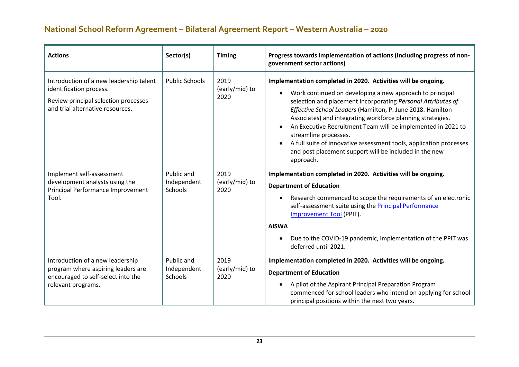| <b>Actions</b>                                                                                                                                 | Sector(s)                            | <b>Timing</b>                  | Progress towards implementation of actions (including progress of non-<br>government sector actions)                                                                                                                                                                                                                                                                                                                                                                                                                                                        |
|------------------------------------------------------------------------------------------------------------------------------------------------|--------------------------------------|--------------------------------|-------------------------------------------------------------------------------------------------------------------------------------------------------------------------------------------------------------------------------------------------------------------------------------------------------------------------------------------------------------------------------------------------------------------------------------------------------------------------------------------------------------------------------------------------------------|
| Introduction of a new leadership talent<br>identification process.<br>Review principal selection processes<br>and trial alternative resources. | <b>Public Schools</b>                | 2019<br>(early/mid) to<br>2020 | Implementation completed in 2020. Activities will be ongoing.<br>Work continued on developing a new approach to principal<br>selection and placement incorporating Personal Attributes of<br>Effective School Leaders (Hamilton, P. June 2018. Hamilton<br>Associates) and integrating workforce planning strategies.<br>An Executive Recruitment Team will be implemented in 2021 to<br>streamline processes.<br>A full suite of innovative assessment tools, application processes<br>and post placement support will be included in the new<br>approach. |
| Implement self-assessment<br>development analysts using the<br>Principal Performance Improvement<br>Tool.                                      | Public and<br>Independent<br>Schools | 2019<br>(early/mid) to<br>2020 | Implementation completed in 2020. Activities will be ongoing.<br><b>Department of Education</b><br>Research commenced to scope the requirements of an electronic<br>self-assessment suite using the <b>Principal Performance</b><br>Improvement Tool (PPIT).<br><b>AISWA</b><br>Due to the COVID-19 pandemic, implementation of the PPIT was<br>deferred until 2021.                                                                                                                                                                                        |
| Introduction of a new leadership<br>program where aspiring leaders are<br>encouraged to self-select into the<br>relevant programs.             | Public and<br>Independent<br>Schools | 2019<br>(early/mid) to<br>2020 | Implementation completed in 2020. Activities will be ongoing.<br><b>Department of Education</b><br>A pilot of the Aspirant Principal Preparation Program<br>commenced for school leaders who intend on applying for school<br>principal positions within the next two years.                                                                                                                                                                                                                                                                                |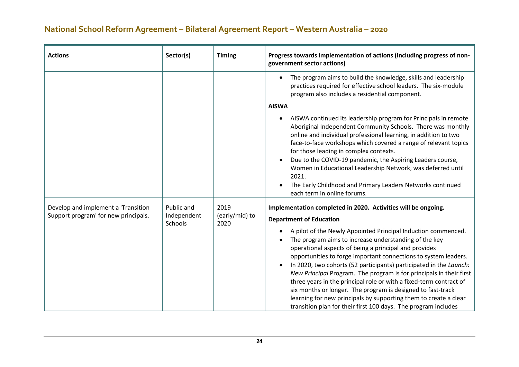| <b>Actions</b>                                                              | Sector(s)                            | <b>Timing</b>                  | Progress towards implementation of actions (including progress of non-<br>government sector actions)                                                                                                                                                                                                                                                                                                                                                                                                                                                                                                                                                                       |
|-----------------------------------------------------------------------------|--------------------------------------|--------------------------------|----------------------------------------------------------------------------------------------------------------------------------------------------------------------------------------------------------------------------------------------------------------------------------------------------------------------------------------------------------------------------------------------------------------------------------------------------------------------------------------------------------------------------------------------------------------------------------------------------------------------------------------------------------------------------|
|                                                                             |                                      |                                | The program aims to build the knowledge, skills and leadership<br>practices required for effective school leaders. The six-module<br>program also includes a residential component.                                                                                                                                                                                                                                                                                                                                                                                                                                                                                        |
|                                                                             |                                      |                                | <b>AISWA</b>                                                                                                                                                                                                                                                                                                                                                                                                                                                                                                                                                                                                                                                               |
|                                                                             |                                      |                                | AISWA continued its leadership program for Principals in remote<br>Aboriginal Independent Community Schools. There was monthly<br>online and individual professional learning, in addition to two<br>face-to-face workshops which covered a range of relevant topics<br>for those leading in complex contexts.<br>Due to the COVID-19 pandemic, the Aspiring Leaders course,<br>Women in Educational Leadership Network, was deferred until<br>2021.                                                                                                                                                                                                                       |
|                                                                             |                                      |                                | The Early Childhood and Primary Leaders Networks continued<br>each term in online forums.                                                                                                                                                                                                                                                                                                                                                                                                                                                                                                                                                                                  |
| Develop and implement a 'Transition<br>Support program' for new principals. | Public and<br>Independent<br>Schools | 2019<br>(early/mid) to<br>2020 | Implementation completed in 2020. Activities will be ongoing.<br><b>Department of Education</b>                                                                                                                                                                                                                                                                                                                                                                                                                                                                                                                                                                            |
|                                                                             |                                      |                                | A pilot of the Newly Appointed Principal Induction commenced.<br>The program aims to increase understanding of the key<br>operational aspects of being a principal and provides<br>opportunities to forge important connections to system leaders.<br>In 2020, two cohorts (52 participants) participated in the Launch:<br>New Principal Program. The program is for principals in their first<br>three years in the principal role or with a fixed-term contract of<br>six months or longer. The program is designed to fast-track<br>learning for new principals by supporting them to create a clear<br>transition plan for their first 100 days. The program includes |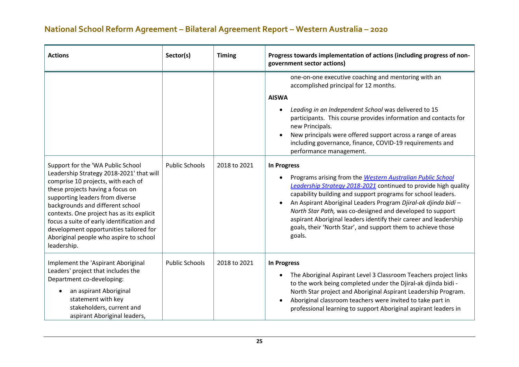| <b>Actions</b>                                                                                                                                                                                                                                                                                                                                                                                                              | Sector(s)             | <b>Timing</b> | Progress towards implementation of actions (including progress of non-<br>government sector actions)                                                                                                                                                                                                                                                                                                                                                                                             |
|-----------------------------------------------------------------------------------------------------------------------------------------------------------------------------------------------------------------------------------------------------------------------------------------------------------------------------------------------------------------------------------------------------------------------------|-----------------------|---------------|--------------------------------------------------------------------------------------------------------------------------------------------------------------------------------------------------------------------------------------------------------------------------------------------------------------------------------------------------------------------------------------------------------------------------------------------------------------------------------------------------|
|                                                                                                                                                                                                                                                                                                                                                                                                                             |                       |               | one-on-one executive coaching and mentoring with an<br>accomplished principal for 12 months.<br><b>AISWA</b><br>Leading in an Independent School was delivered to 15<br>participants. This course provides information and contacts for<br>new Principals.<br>New principals were offered support across a range of areas<br>including governance, finance, COVID-19 requirements and<br>performance management.                                                                                 |
| Support for the 'WA Public School<br>Leadership Strategy 2018-2021' that will<br>comprise 10 projects, with each of<br>these projects having a focus on<br>supporting leaders from diverse<br>backgrounds and different school<br>contexts. One project has as its explicit<br>focus a suite of early identification and<br>development opportunities tailored for<br>Aboriginal people who aspire to school<br>leadership. | <b>Public Schools</b> | 2018 to 2021  | <b>In Progress</b><br>Programs arising from the Western Australian Public School<br>Leadership Strategy 2018-2021 continued to provide high quality<br>capability building and support programs for school leaders.<br>An Aspirant Aboriginal Leaders Program Djiral-ak djinda bidi -<br>North Star Path, was co-designed and developed to support<br>aspirant Aboriginal leaders identify their career and leadership<br>goals, their 'North Star', and support them to achieve those<br>goals. |
| Implement the 'Aspirant Aboriginal<br>Leaders' project that includes the<br>Department co-developing:<br>an aspirant Aboriginal<br>statement with key<br>stakeholders, current and<br>aspirant Aboriginal leaders,                                                                                                                                                                                                          | <b>Public Schools</b> | 2018 to 2021  | <b>In Progress</b><br>The Aboriginal Aspirant Level 3 Classroom Teachers project links<br>to the work being completed under the Djiral-ak djinda bidi -<br>North Star project and Aboriginal Aspirant Leadership Program.<br>Aboriginal classroom teachers were invited to take part in<br>professional learning to support Aboriginal aspirant leaders in                                                                                                                                       |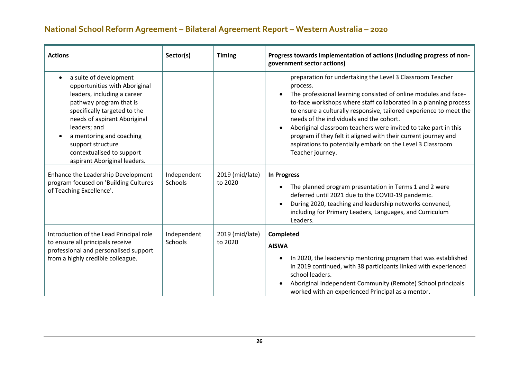| <b>Actions</b>                                                                                                                                                                                                                                                                                                  | Sector(s)              | <b>Timing</b>              | Progress towards implementation of actions (including progress of non-<br>government sector actions)                                                                                                                                                                                                                                                                                                                                                                                                                                                  |
|-----------------------------------------------------------------------------------------------------------------------------------------------------------------------------------------------------------------------------------------------------------------------------------------------------------------|------------------------|----------------------------|-------------------------------------------------------------------------------------------------------------------------------------------------------------------------------------------------------------------------------------------------------------------------------------------------------------------------------------------------------------------------------------------------------------------------------------------------------------------------------------------------------------------------------------------------------|
| a suite of development<br>opportunities with Aboriginal<br>leaders, including a career<br>pathway program that is<br>specifically targeted to the<br>needs of aspirant Aboriginal<br>leaders; and<br>a mentoring and coaching<br>support structure<br>contextualised to support<br>aspirant Aboriginal leaders. |                        |                            | preparation for undertaking the Level 3 Classroom Teacher<br>process.<br>The professional learning consisted of online modules and face-<br>to-face workshops where staff collaborated in a planning process<br>to ensure a culturally responsive, tailored experience to meet the<br>needs of the individuals and the cohort.<br>Aboriginal classroom teachers were invited to take part in this<br>program if they felt it aligned with their current journey and<br>aspirations to potentially embark on the Level 3 Classroom<br>Teacher journey. |
| Enhance the Leadership Development<br>program focused on 'Building Cultures<br>of Teaching Excellence'.                                                                                                                                                                                                         | Independent<br>Schools | 2019 (mid/late)<br>to 2020 | <b>In Progress</b><br>The planned program presentation in Terms 1 and 2 were<br>deferred until 2021 due to the COVID-19 pandemic.<br>During 2020, teaching and leadership networks convened,<br>including for Primary Leaders, Languages, and Curriculum<br>Leaders.                                                                                                                                                                                                                                                                                  |
| Introduction of the Lead Principal role<br>to ensure all principals receive<br>professional and personalised support<br>from a highly credible colleague.                                                                                                                                                       | Independent<br>Schools | 2019 (mid/late)<br>to 2020 | Completed<br><b>AISWA</b><br>In 2020, the leadership mentoring program that was established<br>in 2019 continued, with 38 participants linked with experienced<br>school leaders.<br>Aboriginal Independent Community (Remote) School principals<br>worked with an experienced Principal as a mentor.                                                                                                                                                                                                                                                 |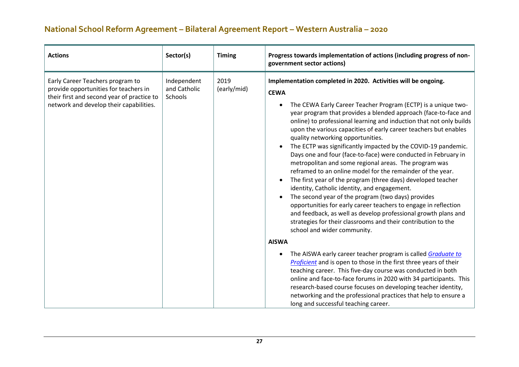| government sector actions)                                                                                                                                                                                                                                                                                                                  |                                                                                                                                                                                                                                                                                                                                                                                                                                                                                                                                                                                                                                                                                                                                                                                                                                                                                                                                                                                                                                                                                                                                                                                                                                                                                                                                                                                                                                                       |
|---------------------------------------------------------------------------------------------------------------------------------------------------------------------------------------------------------------------------------------------------------------------------------------------------------------------------------------------|-------------------------------------------------------------------------------------------------------------------------------------------------------------------------------------------------------------------------------------------------------------------------------------------------------------------------------------------------------------------------------------------------------------------------------------------------------------------------------------------------------------------------------------------------------------------------------------------------------------------------------------------------------------------------------------------------------------------------------------------------------------------------------------------------------------------------------------------------------------------------------------------------------------------------------------------------------------------------------------------------------------------------------------------------------------------------------------------------------------------------------------------------------------------------------------------------------------------------------------------------------------------------------------------------------------------------------------------------------------------------------------------------------------------------------------------------------|
| Independent<br>2019<br>Early Career Teachers program to<br>and Catholic<br>(early/mid)<br>provide opportunities for teachers in<br><b>CEWA</b><br>their first and second year of practice to<br>Schools<br>network and develop their capabilities.<br>٠<br>quality networking opportunities.<br>school and wider community.<br><b>AISWA</b> | Implementation completed in 2020. Activities will be ongoing.<br>The CEWA Early Career Teacher Program (ECTP) is a unique two-<br>year program that provides a blended approach (face-to-face and<br>online) to professional learning and induction that not only builds<br>upon the various capacities of early career teachers but enables<br>The ECTP was significantly impacted by the COVID-19 pandemic.<br>Days one and four (face-to-face) were conducted in February in<br>metropolitan and some regional areas. The program was<br>reframed to an online model for the remainder of the year.<br>The first year of the program (three days) developed teacher<br>identity, Catholic identity, and engagement.<br>The second year of the program (two days) provides<br>opportunities for early career teachers to engage in reflection<br>and feedback, as well as develop professional growth plans and<br>strategies for their classrooms and their contribution to the<br>The AISWA early career teacher program is called <b>Graduate to</b><br><b>Proficient</b> and is open to those in the first three years of their<br>teaching career. This five-day course was conducted in both<br>online and face-to-face forums in 2020 with 34 participants. This<br>research-based course focuses on developing teacher identity,<br>networking and the professional practices that help to ensure a<br>long and successful teaching career. |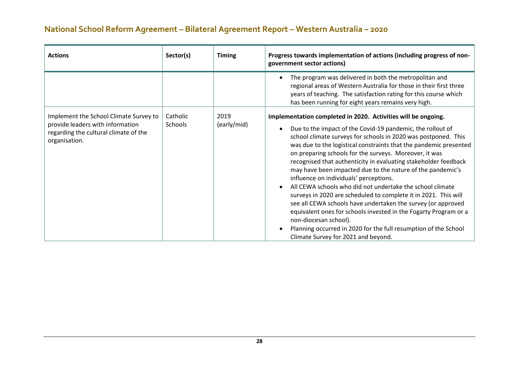| <b>Actions</b>                                                                                                                       | Sector(s)           | <b>Timing</b>       | Progress towards implementation of actions (including progress of non-<br>government sector actions)                                                                                                                                                                                                                                                                                                                                                                                                                                                                                                                                                                                                                                                                                                                                                                                                           |
|--------------------------------------------------------------------------------------------------------------------------------------|---------------------|---------------------|----------------------------------------------------------------------------------------------------------------------------------------------------------------------------------------------------------------------------------------------------------------------------------------------------------------------------------------------------------------------------------------------------------------------------------------------------------------------------------------------------------------------------------------------------------------------------------------------------------------------------------------------------------------------------------------------------------------------------------------------------------------------------------------------------------------------------------------------------------------------------------------------------------------|
|                                                                                                                                      |                     |                     | The program was delivered in both the metropolitan and<br>regional areas of Western Australia for those in their first three<br>years of teaching. The satisfaction rating for this course which<br>has been running for eight years remains very high.                                                                                                                                                                                                                                                                                                                                                                                                                                                                                                                                                                                                                                                        |
| Implement the School Climate Survey to<br>provide leaders with information<br>regarding the cultural climate of the<br>organisation. | Catholic<br>Schools | 2019<br>(early/mid) | Implementation completed in 2020. Activities will be ongoing.<br>Due to the impact of the Covid-19 pandemic, the rollout of<br>school climate surveys for schools in 2020 was postponed. This<br>was due to the logistical constraints that the pandemic presented<br>on preparing schools for the surveys. Moreover, it was<br>recognised that authenticity in evaluating stakeholder feedback<br>may have been impacted due to the nature of the pandemic's<br>influence on individuals' perceptions.<br>All CEWA schools who did not undertake the school climate<br>surveys in 2020 are scheduled to complete it in 2021. This will<br>see all CEWA schools have undertaken the survey (or approved<br>equivalent ones for schools invested in the Fogarty Program or a<br>non-diocesan school).<br>Planning occurred in 2020 for the full resumption of the School<br>Climate Survey for 2021 and beyond. |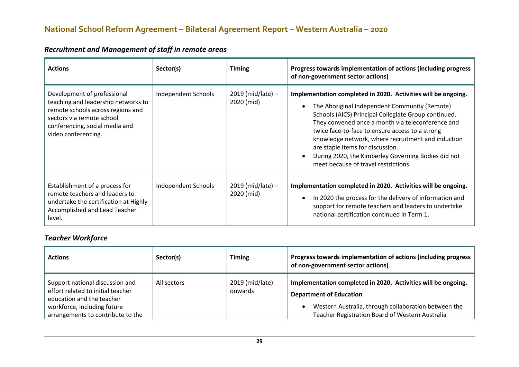| <b>Actions</b>                                                                                                                                                                                | Sector(s)           | <b>Timing</b>                   | Progress towards implementation of actions (including progress<br>of non-government sector actions)                                                                                                                                                                                                                                                                                                                                                                     |
|-----------------------------------------------------------------------------------------------------------------------------------------------------------------------------------------------|---------------------|---------------------------------|-------------------------------------------------------------------------------------------------------------------------------------------------------------------------------------------------------------------------------------------------------------------------------------------------------------------------------------------------------------------------------------------------------------------------------------------------------------------------|
| Development of professional<br>teaching and leadership networks to<br>remote schools across regions and<br>sectors via remote school<br>conferencing, social media and<br>video conferencing. | Independent Schools | 2019 (mid/late) -<br>2020 (mid) | Implementation completed in 2020. Activities will be ongoing.<br>The Aboriginal Independent Community (Remote)<br>Schools (AICS) Principal Collegiate Group continued.<br>They convened once a month via teleconference and<br>twice face-to-face to ensure access to a strong<br>knowledge network, where recruitment and induction<br>are staple items for discussion.<br>During 2020, the Kimberley Governing Bodies did not<br>meet because of travel restrictions. |
| Establishment of a process for<br>remote teachers and leaders to<br>undertake the certification at Highly<br>Accomplished and Lead Teacher<br>level.                                          | Independent Schools | 2019 (mid/late) -<br>2020 (mid) | Implementation completed in 2020. Activities will be ongoing.<br>In 2020 the process for the delivery of information and<br>support for remote teachers and leaders to undertake<br>national certification continued in Term 1.                                                                                                                                                                                                                                         |

#### *Recruitment and Management of staff in remote areas*

#### *Teacher Workforce*

| <b>Actions</b>                                                                                                                                                        | Sector(s)   | Timing                     | Progress towards implementation of actions (including progress<br>of non-government sector actions)                                                                                                        |
|-----------------------------------------------------------------------------------------------------------------------------------------------------------------------|-------------|----------------------------|------------------------------------------------------------------------------------------------------------------------------------------------------------------------------------------------------------|
| Support national discussion and<br>effort related to initial teacher<br>education and the teacher<br>workforce, including future<br>arrangements to contribute to the | All sectors | 2019 (mid/late)<br>onwards | Implementation completed in 2020. Activities will be ongoing.<br><b>Department of Education</b><br>Western Australia, through collaboration between the<br>Teacher Registration Board of Western Australia |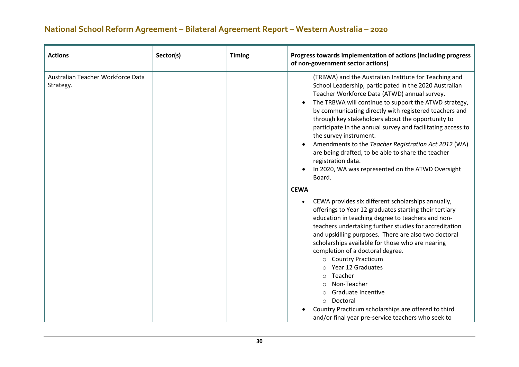| <b>Actions</b>                                 | Sector(s) | <b>Timing</b> | Progress towards implementation of actions (including progress<br>of non-government sector actions)                                                                                                                                                                                                                                                                                                                                                                                                                                                                                                                                                |
|------------------------------------------------|-----------|---------------|----------------------------------------------------------------------------------------------------------------------------------------------------------------------------------------------------------------------------------------------------------------------------------------------------------------------------------------------------------------------------------------------------------------------------------------------------------------------------------------------------------------------------------------------------------------------------------------------------------------------------------------------------|
| Australian Teacher Workforce Data<br>Strategy. |           |               | (TRBWA) and the Australian Institute for Teaching and<br>School Leadership, participated in the 2020 Australian<br>Teacher Workforce Data (ATWD) annual survey.<br>The TRBWA will continue to support the ATWD strategy,<br>by communicating directly with registered teachers and<br>through key stakeholders about the opportunity to<br>participate in the annual survey and facilitating access to<br>the survey instrument.<br>Amendments to the Teacher Registration Act 2012 (WA)<br>are being drafted, to be able to share the teacher<br>registration data.<br>In 2020, WA was represented on the ATWD Oversight<br>Board.<br><b>CEWA</b> |
|                                                |           |               | CEWA provides six different scholarships annually,<br>offerings to Year 12 graduates starting their tertiary<br>education in teaching degree to teachers and non-<br>teachers undertaking further studies for accreditation<br>and upskilling purposes. There are also two doctoral<br>scholarships available for those who are nearing<br>completion of a doctoral degree.<br><b>Country Practicum</b><br>$\circ$<br>Year 12 Graduates<br>Teacher<br>O<br>Non-Teacher<br>Graduate Incentive<br>∩<br>Doctoral<br>O<br>Country Practicum scholarships are offered to third<br>and/or final year pre-service teachers who seek to                    |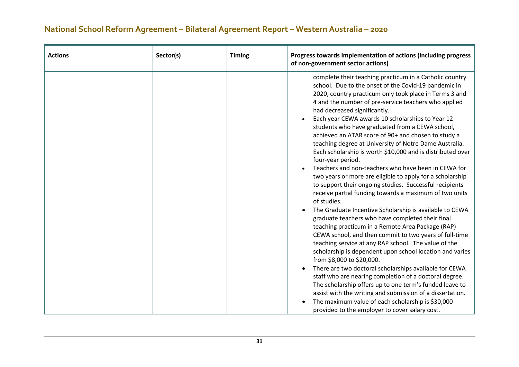| <b>Actions</b> | Sector(s) | <b>Timing</b> | Progress towards implementation of actions (including progress<br>of non-government sector actions)                                                                                                                                                                                                                                                                                                                                                                                                                                                                                                                                                                                                                                                                                                                                                                                                                                                                                                                                                                                                                                                                                                                                                                                                                                                                                                                                                                                                                                                                    |
|----------------|-----------|---------------|------------------------------------------------------------------------------------------------------------------------------------------------------------------------------------------------------------------------------------------------------------------------------------------------------------------------------------------------------------------------------------------------------------------------------------------------------------------------------------------------------------------------------------------------------------------------------------------------------------------------------------------------------------------------------------------------------------------------------------------------------------------------------------------------------------------------------------------------------------------------------------------------------------------------------------------------------------------------------------------------------------------------------------------------------------------------------------------------------------------------------------------------------------------------------------------------------------------------------------------------------------------------------------------------------------------------------------------------------------------------------------------------------------------------------------------------------------------------------------------------------------------------------------------------------------------------|
|                |           |               | complete their teaching practicum in a Catholic country<br>school. Due to the onset of the Covid-19 pandemic in<br>2020, country practicum only took place in Terms 3 and<br>4 and the number of pre-service teachers who applied<br>had decreased significantly.<br>Each year CEWA awards 10 scholarships to Year 12<br>students who have graduated from a CEWA school,<br>achieved an ATAR score of 90+ and chosen to study a<br>teaching degree at University of Notre Dame Australia.<br>Each scholarship is worth \$10,000 and is distributed over<br>four-year period.<br>Teachers and non-teachers who have been in CEWA for<br>two years or more are eligible to apply for a scholarship<br>to support their ongoing studies. Successful recipients<br>receive partial funding towards a maximum of two units<br>of studies.<br>The Graduate Incentive Scholarship is available to CEWA<br>graduate teachers who have completed their final<br>teaching practicum in a Remote Area Package (RAP)<br>CEWA school, and then commit to two years of full-time<br>teaching service at any RAP school. The value of the<br>scholarship is dependent upon school location and varies<br>from \$8,000 to \$20,000.<br>There are two doctoral scholarships available for CEWA<br>staff who are nearing completion of a doctoral degree.<br>The scholarship offers up to one term's funded leave to<br>assist with the writing and submission of a dissertation.<br>The maximum value of each scholarship is \$30,000<br>provided to the employer to cover salary cost. |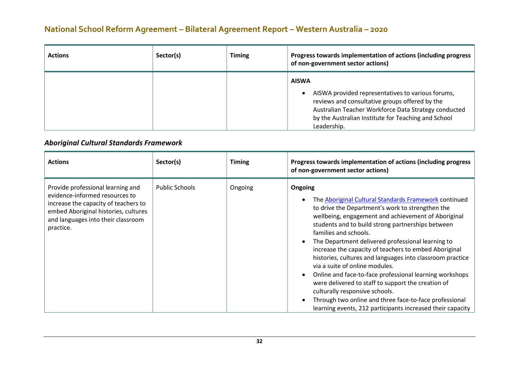| <b>Actions</b> | Sector(s) | <b>Timing</b> | Progress towards implementation of actions (including progress<br>of non-government sector actions)                                                                                                                                               |
|----------------|-----------|---------------|---------------------------------------------------------------------------------------------------------------------------------------------------------------------------------------------------------------------------------------------------|
|                |           |               | <b>AISWA</b><br>AISWA provided representatives to various forums,<br>reviews and consultative groups offered by the<br>Australian Teacher Workforce Data Strategy conducted<br>by the Australian Institute for Teaching and School<br>Leadership. |

#### *Aboriginal Cultural Standards Framework*

| <b>Actions</b>                                                                                                                                                                                         | Sector(s)             | <b>Timing</b> | Progress towards implementation of actions (including progress<br>of non-government sector actions)                                                                                                                                                                                                                                                                                                                                                                                                                                                                                                                                                                                                                                               |
|--------------------------------------------------------------------------------------------------------------------------------------------------------------------------------------------------------|-----------------------|---------------|---------------------------------------------------------------------------------------------------------------------------------------------------------------------------------------------------------------------------------------------------------------------------------------------------------------------------------------------------------------------------------------------------------------------------------------------------------------------------------------------------------------------------------------------------------------------------------------------------------------------------------------------------------------------------------------------------------------------------------------------------|
| Provide professional learning and<br>evidence-informed resources to<br>increase the capacity of teachers to<br>embed Aboriginal histories, cultures<br>and languages into their classroom<br>practice. | <b>Public Schools</b> | Ongoing       | Ongoing<br>The Aboriginal Cultural Standards Framework continued<br>to drive the Department's work to strengthen the<br>wellbeing, engagement and achievement of Aboriginal<br>students and to build strong partnerships between<br>families and schools.<br>The Department delivered professional learning to<br>increase the capacity of teachers to embed Aboriginal<br>histories, cultures and languages into classroom practice<br>via a suite of online modules.<br>Online and face-to-face professional learning workshops<br>were delivered to staff to support the creation of<br>culturally responsive schools.<br>Through two online and three face-to-face professional<br>learning events, 212 participants increased their capacity |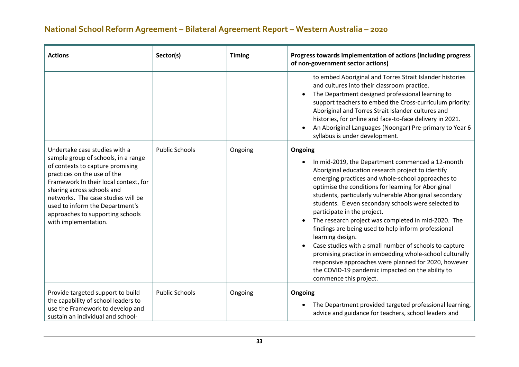| <b>Actions</b>                                                                                                                                                                                                                                                                                                                                      | Sector(s)             | <b>Timing</b> | Progress towards implementation of actions (including progress<br>of non-government sector actions)                                                                                                                                                                                                                                                                                                                                                                                                                                                                                                                                                                                                                                                                       |
|-----------------------------------------------------------------------------------------------------------------------------------------------------------------------------------------------------------------------------------------------------------------------------------------------------------------------------------------------------|-----------------------|---------------|---------------------------------------------------------------------------------------------------------------------------------------------------------------------------------------------------------------------------------------------------------------------------------------------------------------------------------------------------------------------------------------------------------------------------------------------------------------------------------------------------------------------------------------------------------------------------------------------------------------------------------------------------------------------------------------------------------------------------------------------------------------------------|
|                                                                                                                                                                                                                                                                                                                                                     |                       |               | to embed Aboriginal and Torres Strait Islander histories<br>and cultures into their classroom practice.<br>The Department designed professional learning to<br>support teachers to embed the Cross-curriculum priority:<br>Aboriginal and Torres Strait Islander cultures and<br>histories, for online and face-to-face delivery in 2021.<br>An Aboriginal Languages (Noongar) Pre-primary to Year 6<br>syllabus is under development.                                                                                                                                                                                                                                                                                                                                    |
| Undertake case studies with a<br>sample group of schools, in a range<br>of contexts to capture promising<br>practices on the use of the<br>Framework In their local context, for<br>sharing across schools and<br>networks. The case studies will be<br>used to inform the Department's<br>approaches to supporting schools<br>with implementation. | <b>Public Schools</b> | Ongoing       | Ongoing<br>In mid-2019, the Department commenced a 12-month<br>Aboriginal education research project to identify<br>emerging practices and whole-school approaches to<br>optimise the conditions for learning for Aboriginal<br>students, particularly vulnerable Aboriginal secondary<br>students. Eleven secondary schools were selected to<br>participate in the project.<br>The research project was completed in mid-2020. The<br>findings are being used to help inform professional<br>learning design.<br>Case studies with a small number of schools to capture<br>promising practice in embedding whole-school culturally<br>responsive approaches were planned for 2020, however<br>the COVID-19 pandemic impacted on the ability to<br>commence this project. |
| Provide targeted support to build<br>the capability of school leaders to<br>use the Framework to develop and<br>sustain an individual and school-                                                                                                                                                                                                   | <b>Public Schools</b> | Ongoing       | Ongoing<br>The Department provided targeted professional learning,<br>advice and guidance for teachers, school leaders and                                                                                                                                                                                                                                                                                                                                                                                                                                                                                                                                                                                                                                                |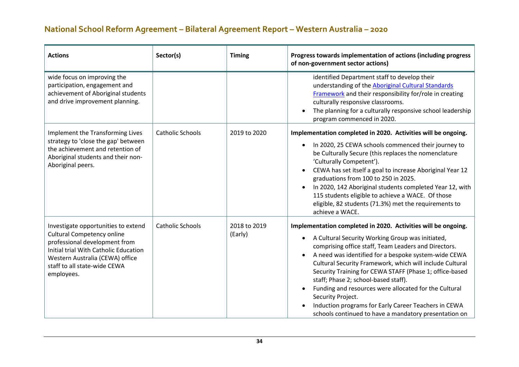| <b>Actions</b>                                                                                                                                                                                                                      | Sector(s)               | <b>Timing</b>           | Progress towards implementation of actions (including progress<br>of non-government sector actions)                                                                                                                                                                                                                                                                                                                                                                                                                                                                                                          |
|-------------------------------------------------------------------------------------------------------------------------------------------------------------------------------------------------------------------------------------|-------------------------|-------------------------|--------------------------------------------------------------------------------------------------------------------------------------------------------------------------------------------------------------------------------------------------------------------------------------------------------------------------------------------------------------------------------------------------------------------------------------------------------------------------------------------------------------------------------------------------------------------------------------------------------------|
| wide focus on improving the<br>participation, engagement and<br>achievement of Aboriginal students<br>and drive improvement planning.                                                                                               |                         |                         | identified Department staff to develop their<br>understanding of the Aboriginal Cultural Standards<br>Framework and their responsibility for/role in creating<br>culturally responsive classrooms.<br>The planning for a culturally responsive school leadership<br>program commenced in 2020.                                                                                                                                                                                                                                                                                                               |
| Implement the Transforming Lives<br>strategy to 'close the gap' between<br>the achievement and retention of<br>Aboriginal students and their non-<br>Aboriginal peers.                                                              | <b>Catholic Schools</b> | 2019 to 2020            | Implementation completed in 2020. Activities will be ongoing.<br>In 2020, 25 CEWA schools commenced their journey to<br>be Culturally Secure (this replaces the nomenclature<br>'Culturally Competent').<br>CEWA has set itself a goal to increase Aboriginal Year 12<br>graduations from 100 to 250 in 2025.<br>In 2020, 142 Aboriginal students completed Year 12, with<br>115 students eligible to achieve a WACE. Of those<br>eligible, 82 students (71.3%) met the requirements to<br>achieve a WACE.                                                                                                   |
| Investigate opportunities to extend<br><b>Cultural Competency online</b><br>professional development from<br>Initial trial With Catholic Education<br>Western Australia (CEWA) office<br>staff to all state-wide CEWA<br>employees. | <b>Catholic Schools</b> | 2018 to 2019<br>(Early) | Implementation completed in 2020. Activities will be ongoing.<br>A Cultural Security Working Group was initiated,<br>$\bullet$<br>comprising office staff, Team Leaders and Directors.<br>A need was identified for a bespoke system-wide CEWA<br>Cultural Security Framework, which will include Cultural<br>Security Training for CEWA STAFF (Phase 1; office-based<br>staff; Phase 2; school-based staff).<br>Funding and resources were allocated for the Cultural<br>Security Project.<br>Induction programs for Early Career Teachers in CEWA<br>schools continued to have a mandatory presentation on |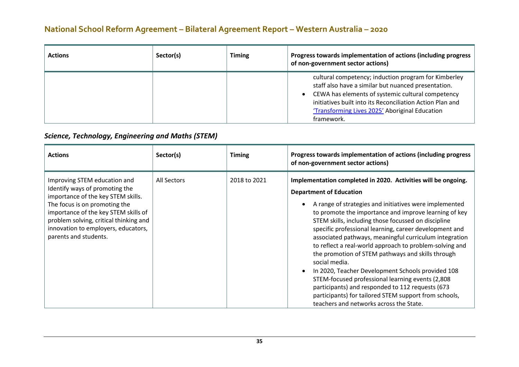| <b>Actions</b> | Sector(s) | <b>Timing</b> | Progress towards implementation of actions (including progress<br>of non-government sector actions)                                                                                                                                                                                           |
|----------------|-----------|---------------|-----------------------------------------------------------------------------------------------------------------------------------------------------------------------------------------------------------------------------------------------------------------------------------------------|
|                |           |               | cultural competency; induction program for Kimberley<br>staff also have a similar but nuanced presentation.<br>CEWA has elements of systemic cultural competency<br>initiatives built into its Reconciliation Action Plan and<br>'Transforming Lives 2025' Aboriginal Education<br>framework. |

#### *Science, Technology, Engineering and Maths (STEM)*

| <b>Actions</b>                                                                                                                                                                                                                                                                          | Sector(s)   | <b>Timing</b> | Progress towards implementation of actions (including progress<br>of non-government sector actions)                                                                                                                                                                                                                                                                                                                                                                                                                                                                                                                                                                                                                                                                                              |
|-----------------------------------------------------------------------------------------------------------------------------------------------------------------------------------------------------------------------------------------------------------------------------------------|-------------|---------------|--------------------------------------------------------------------------------------------------------------------------------------------------------------------------------------------------------------------------------------------------------------------------------------------------------------------------------------------------------------------------------------------------------------------------------------------------------------------------------------------------------------------------------------------------------------------------------------------------------------------------------------------------------------------------------------------------------------------------------------------------------------------------------------------------|
| Improving STEM education and<br>Identify ways of promoting the<br>importance of the key STEM skills.<br>The focus is on promoting the<br>importance of the key STEM skills of<br>problem solving, critical thinking and<br>innovation to employers, educators,<br>parents and students. | All Sectors | 2018 to 2021  | Implementation completed in 2020. Activities will be ongoing.<br><b>Department of Education</b><br>A range of strategies and initiatives were implemented<br>to promote the importance and improve learning of key<br>STEM skills, including those focussed on discipline<br>specific professional learning, career development and<br>associated pathways, meaningful curriculum integration<br>to reflect a real-world approach to problem-solving and<br>the promotion of STEM pathways and skills through<br>social media.<br>In 2020, Teacher Development Schools provided 108<br>STEM-focused professional learning events (2,808)<br>participants) and responded to 112 requests (673<br>participants) for tailored STEM support from schools,<br>teachers and networks across the State. |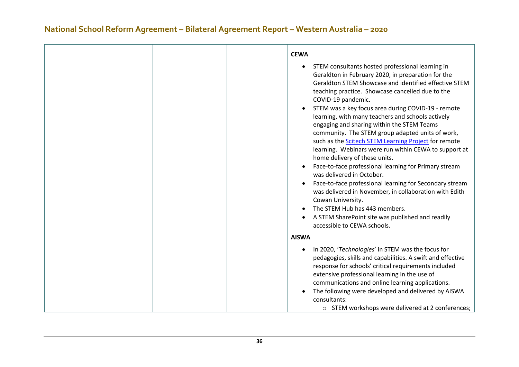|  | <b>CEWA</b>  |                                                                                                                                                                                                                                                                                                                                                                                                                                                                                                                                                                                                                                                                                                                                                                                                                                                                                                                                                              |
|--|--------------|--------------------------------------------------------------------------------------------------------------------------------------------------------------------------------------------------------------------------------------------------------------------------------------------------------------------------------------------------------------------------------------------------------------------------------------------------------------------------------------------------------------------------------------------------------------------------------------------------------------------------------------------------------------------------------------------------------------------------------------------------------------------------------------------------------------------------------------------------------------------------------------------------------------------------------------------------------------|
|  |              | STEM consultants hosted professional learning in<br>Geraldton in February 2020, in preparation for the<br>Geraldton STEM Showcase and identified effective STEM<br>teaching practice. Showcase cancelled due to the<br>COVID-19 pandemic.<br>STEM was a key focus area during COVID-19 - remote<br>learning, with many teachers and schools actively<br>engaging and sharing within the STEM Teams<br>community. The STEM group adapted units of work,<br>such as the Scitech STEM Learning Project for remote<br>learning. Webinars were run within CEWA to support at<br>home delivery of these units.<br>Face-to-face professional learning for Primary stream<br>was delivered in October.<br>Face-to-face professional learning for Secondary stream<br>was delivered in November, in collaboration with Edith<br>Cowan University.<br>The STEM Hub has 443 members.<br>A STEM SharePoint site was published and readily<br>accessible to CEWA schools. |
|  | <b>AISWA</b> |                                                                                                                                                                                                                                                                                                                                                                                                                                                                                                                                                                                                                                                                                                                                                                                                                                                                                                                                                              |
|  |              | In 2020, 'Technologies' in STEM was the focus for<br>pedagogies, skills and capabilities. A swift and effective<br>response for schools' critical requirements included<br>extensive professional learning in the use of<br>communications and online learning applications.<br>The following were developed and delivered by AISWA<br>consultants:<br>o STEM workshops were delivered at 2 conferences;                                                                                                                                                                                                                                                                                                                                                                                                                                                                                                                                                     |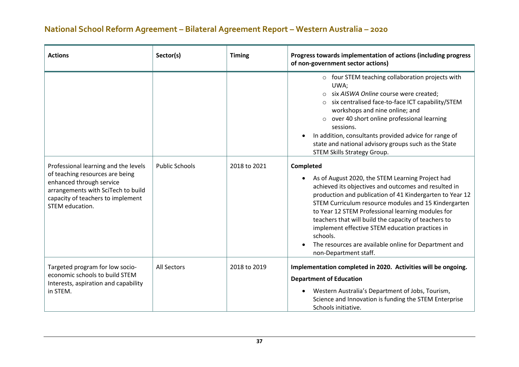| <b>Actions</b>                                                                                                                                                                                    | Sector(s)             | <b>Timing</b> | Progress towards implementation of actions (including progress<br>of non-government sector actions)                                                                                                                                                                                                                                                                                                                                                                                                     |
|---------------------------------------------------------------------------------------------------------------------------------------------------------------------------------------------------|-----------------------|---------------|---------------------------------------------------------------------------------------------------------------------------------------------------------------------------------------------------------------------------------------------------------------------------------------------------------------------------------------------------------------------------------------------------------------------------------------------------------------------------------------------------------|
|                                                                                                                                                                                                   |                       |               | o four STEM teaching collaboration projects with<br>UWA;<br>six AISWA Online course were created;<br>six centralised face-to-face ICT capability/STEM<br>workshops and nine online; and<br>over 40 short online professional learning<br>sessions.<br>In addition, consultants provided advice for range of<br>state and national advisory groups such as the State<br>STEM Skills Strategy Group.                                                                                                      |
| Professional learning and the levels<br>of teaching resources are being<br>enhanced through service<br>arrangements with SciTech to build<br>capacity of teachers to implement<br>STEM education. | <b>Public Schools</b> | 2018 to 2021  | Completed<br>As of August 2020, the STEM Learning Project had<br>achieved its objectives and outcomes and resulted in<br>production and publication of 41 Kindergarten to Year 12<br>STEM Curriculum resource modules and 15 Kindergarten<br>to Year 12 STEM Professional learning modules for<br>teachers that will build the capacity of teachers to<br>implement effective STEM education practices in<br>schools.<br>The resources are available online for Department and<br>non-Department staff. |
| Targeted program for low socio-<br>economic schools to build STEM<br>Interests, aspiration and capability<br>in STEM.                                                                             | <b>All Sectors</b>    | 2018 to 2019  | Implementation completed in 2020. Activities will be ongoing.<br><b>Department of Education</b><br>Western Australia's Department of Jobs, Tourism,<br>Science and Innovation is funding the STEM Enterprise<br>Schools initiative.                                                                                                                                                                                                                                                                     |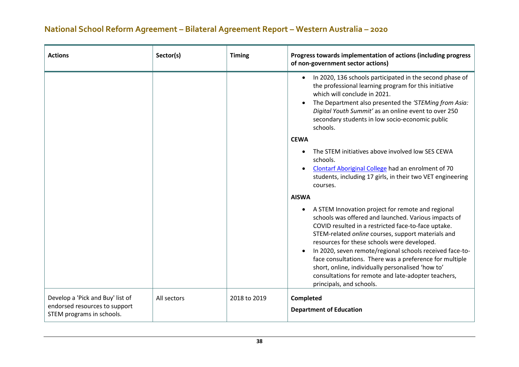| <b>Actions</b>                                             | Sector(s)   | <b>Timing</b> | Progress towards implementation of actions (including progress<br>of non-government sector actions)                                                                                                                                                                                                                                                                                                                                                                                                                                  |
|------------------------------------------------------------|-------------|---------------|--------------------------------------------------------------------------------------------------------------------------------------------------------------------------------------------------------------------------------------------------------------------------------------------------------------------------------------------------------------------------------------------------------------------------------------------------------------------------------------------------------------------------------------|
|                                                            |             |               | In 2020, 136 schools participated in the second phase of<br>the professional learning program for this initiative<br>which will conclude in 2021.<br>The Department also presented the 'STEMing from Asia:<br>Digital Youth Summit' as an online event to over 250<br>secondary students in low socio-economic public<br>schools.                                                                                                                                                                                                    |
|                                                            |             |               | <b>CEWA</b>                                                                                                                                                                                                                                                                                                                                                                                                                                                                                                                          |
|                                                            |             |               | The STEM initiatives above involved low SES CEWA<br>schools.                                                                                                                                                                                                                                                                                                                                                                                                                                                                         |
|                                                            |             |               | Clontarf Aboriginal College had an enrolment of 70<br>students, including 17 girls, in their two VET engineering                                                                                                                                                                                                                                                                                                                                                                                                                     |
|                                                            |             |               | courses.                                                                                                                                                                                                                                                                                                                                                                                                                                                                                                                             |
|                                                            |             |               | <b>AISWA</b>                                                                                                                                                                                                                                                                                                                                                                                                                                                                                                                         |
|                                                            |             |               | A STEM Innovation project for remote and regional<br>schools was offered and launched. Various impacts of<br>COVID resulted in a restricted face-to-face uptake.<br>STEM-related online courses, support materials and<br>resources for these schools were developed.<br>In 2020, seven remote/regional schools received face-to-<br>face consultations. There was a preference for multiple<br>short, online, individually personalised 'how to'<br>consultations for remote and late-adopter teachers,<br>principals, and schools. |
| Develop a 'Pick and Buy' list of                           | All sectors | 2018 to 2019  | Completed                                                                                                                                                                                                                                                                                                                                                                                                                                                                                                                            |
| endorsed resources to support<br>STEM programs in schools. |             |               | <b>Department of Education</b>                                                                                                                                                                                                                                                                                                                                                                                                                                                                                                       |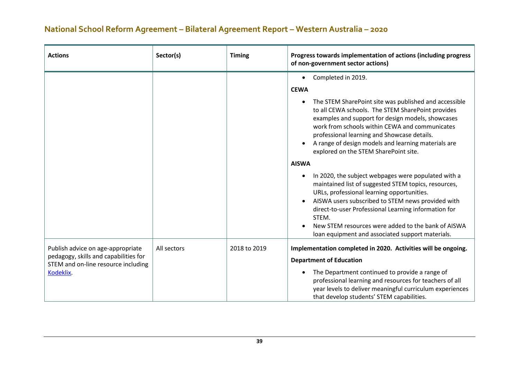| <b>Actions</b>                                                                                                                 | Sector(s)   | <b>Timing</b> | Progress towards implementation of actions (including progress<br>of non-government sector actions)                                                                                                                                                                                                                                                                                                                                                                                                                                                                                                                                                                                                                                                                                                                             |
|--------------------------------------------------------------------------------------------------------------------------------|-------------|---------------|---------------------------------------------------------------------------------------------------------------------------------------------------------------------------------------------------------------------------------------------------------------------------------------------------------------------------------------------------------------------------------------------------------------------------------------------------------------------------------------------------------------------------------------------------------------------------------------------------------------------------------------------------------------------------------------------------------------------------------------------------------------------------------------------------------------------------------|
|                                                                                                                                |             |               | Completed in 2019.<br>$\bullet$<br><b>CEWA</b><br>The STEM SharePoint site was published and accessible<br>to all CEWA schools. The STEM SharePoint provides<br>examples and support for design models, showcases<br>work from schools within CEWA and communicates<br>professional learning and Showcase details.<br>A range of design models and learning materials are<br>explored on the STEM SharePoint site.<br><b>AISWA</b><br>In 2020, the subject webpages were populated with a<br>maintained list of suggested STEM topics, resources,<br>URLs, professional learning opportunities.<br>AISWA users subscribed to STEM news provided with<br>direct-to-user Professional Learning information for<br>STEM.<br>New STEM resources were added to the bank of AISWA<br>loan equipment and associated support materials. |
| Publish advice on age-appropriate<br>pedagogy, skills and capabilities for<br>STEM and on-line resource including<br>Kodeklix. | All sectors | 2018 to 2019  | Implementation completed in 2020. Activities will be ongoing.<br><b>Department of Education</b><br>The Department continued to provide a range of<br>professional learning and resources for teachers of all<br>year levels to deliver meaningful curriculum experiences<br>that develop students' STEM capabilities.                                                                                                                                                                                                                                                                                                                                                                                                                                                                                                           |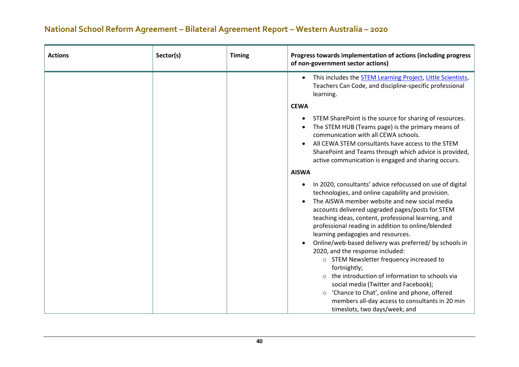| <b>Actions</b> | Sector(s) | <b>Timing</b> | Progress towards implementation of actions (including progress<br>of non-government sector actions)                                                                                                                                                                                                                                                                                                                                                                                                                                                                                                                                                                                                                                                                                  |
|----------------|-----------|---------------|--------------------------------------------------------------------------------------------------------------------------------------------------------------------------------------------------------------------------------------------------------------------------------------------------------------------------------------------------------------------------------------------------------------------------------------------------------------------------------------------------------------------------------------------------------------------------------------------------------------------------------------------------------------------------------------------------------------------------------------------------------------------------------------|
|                |           |               | This includes the STEM Learning Project, Little Scientists,<br>Teachers Can Code, and discipline-specific professional<br>learning.                                                                                                                                                                                                                                                                                                                                                                                                                                                                                                                                                                                                                                                  |
|                |           |               | <b>CEWA</b>                                                                                                                                                                                                                                                                                                                                                                                                                                                                                                                                                                                                                                                                                                                                                                          |
|                |           |               | STEM SharePoint is the source for sharing of resources.<br>The STEM HUB (Teams page) is the primary means of<br>communication with all CEWA schools.<br>All CEWA STEM consultants have access to the STEM<br>SharePoint and Teams through which advice is provided,<br>active communication is engaged and sharing occurs.                                                                                                                                                                                                                                                                                                                                                                                                                                                           |
|                |           |               | <b>AISWA</b>                                                                                                                                                                                                                                                                                                                                                                                                                                                                                                                                                                                                                                                                                                                                                                         |
|                |           |               | In 2020, consultants' advice refocussed on use of digital<br>technologies, and online capability and provision.<br>The AISWA member website and new social media<br>accounts delivered upgraded pages/posts for STEM<br>teaching ideas, content, professional learning, and<br>professional reading in addition to online/blended<br>learning pedagogies and resources.<br>Online/web-based delivery was preferred/ by schools in<br>2020, and the response included:<br>o STEM Newsletter frequency increased to<br>fortnightly;<br>the introduction of information to schools via<br>$\circ$<br>social media (Twitter and Facebook);<br>'Chance to Chat', online and phone, offered<br>$\circ$<br>members all-day access to consultants in 20 min<br>timeslots, two days/week; and |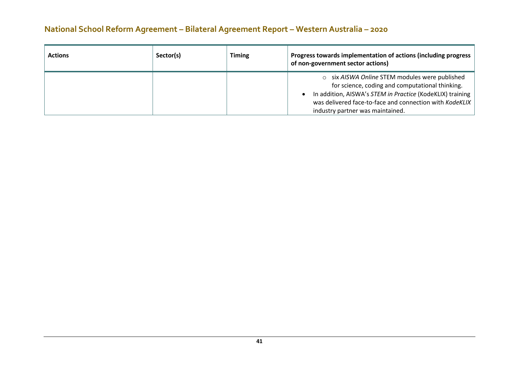| <b>Actions</b> | Sector(s) | <b>Timing</b> | Progress towards implementation of actions (including progress<br>of non-government sector actions)                                                                                                                                                           |
|----------------|-----------|---------------|---------------------------------------------------------------------------------------------------------------------------------------------------------------------------------------------------------------------------------------------------------------|
|                |           |               | o six AISWA Online STEM modules were published<br>for science, coding and computational thinking.<br>In addition, AISWA's STEM in Practice (KodeKLIX) training<br>was delivered face-to-face and connection with KodeKLIX<br>industry partner was maintained. |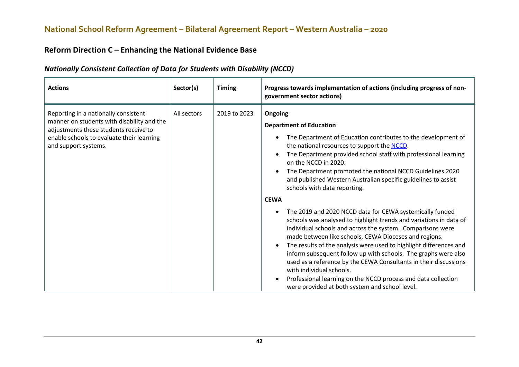#### **Reform Direction C – Enhancing the National Evidence Base**

| <b>Actions</b>                                                                                                                                                                                   | Sector(s)   | <b>Timing</b> | Progress towards implementation of actions (including progress of non-<br>government sector actions)                                                                                                                                                                                                                                                                                                                                                                                                                                                                                                                                                                                                                                                                                                                                                                                                                                                                                                                                                                                                                         |
|--------------------------------------------------------------------------------------------------------------------------------------------------------------------------------------------------|-------------|---------------|------------------------------------------------------------------------------------------------------------------------------------------------------------------------------------------------------------------------------------------------------------------------------------------------------------------------------------------------------------------------------------------------------------------------------------------------------------------------------------------------------------------------------------------------------------------------------------------------------------------------------------------------------------------------------------------------------------------------------------------------------------------------------------------------------------------------------------------------------------------------------------------------------------------------------------------------------------------------------------------------------------------------------------------------------------------------------------------------------------------------------|
| Reporting in a nationally consistent<br>manner on students with disability and the<br>adjustments these students receive to<br>enable schools to evaluate their learning<br>and support systems. | All sectors | 2019 to 2023  | Ongoing<br><b>Department of Education</b><br>The Department of Education contributes to the development of<br>$\bullet$<br>the national resources to support the NCCD.<br>The Department provided school staff with professional learning<br>$\bullet$<br>on the NCCD in 2020.<br>The Department promoted the national NCCD Guidelines 2020<br>$\bullet$<br>and published Western Australian specific guidelines to assist<br>schools with data reporting.<br><b>CEWA</b><br>The 2019 and 2020 NCCD data for CEWA systemically funded<br>٠<br>schools was analysed to highlight trends and variations in data of<br>individual schools and across the system. Comparisons were<br>made between like schools, CEWA Dioceses and regions.<br>The results of the analysis were used to highlight differences and<br>$\bullet$<br>inform subsequent follow up with schools. The graphs were also<br>used as a reference by the CEWA Consultants in their discussions<br>with individual schools.<br>Professional learning on the NCCD process and data collection<br>$\bullet$<br>were provided at both system and school level. |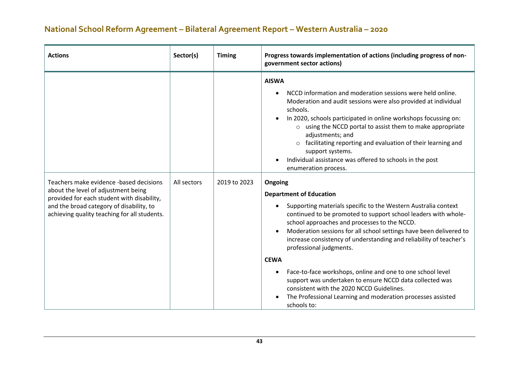| <b>Actions</b>                                                                                                                                                                                                           | Sector(s)   | <b>Timing</b> | Progress towards implementation of actions (including progress of non-<br>government sector actions)                                                                                                                                                                                                                                                                                                                                                                                                                                                                                                                                                                                                                                                                                                                                                                                                                                                                                                                                                                                                                                                                                                      |
|--------------------------------------------------------------------------------------------------------------------------------------------------------------------------------------------------------------------------|-------------|---------------|-----------------------------------------------------------------------------------------------------------------------------------------------------------------------------------------------------------------------------------------------------------------------------------------------------------------------------------------------------------------------------------------------------------------------------------------------------------------------------------------------------------------------------------------------------------------------------------------------------------------------------------------------------------------------------------------------------------------------------------------------------------------------------------------------------------------------------------------------------------------------------------------------------------------------------------------------------------------------------------------------------------------------------------------------------------------------------------------------------------------------------------------------------------------------------------------------------------|
| Teachers make evidence -based decisions<br>about the level of adjustment being<br>provided for each student with disability,<br>and the broad category of disability, to<br>achieving quality teaching for all students. | All sectors | 2019 to 2023  | <b>AISWA</b><br>NCCD information and moderation sessions were held online.<br>Moderation and audit sessions were also provided at individual<br>schools.<br>In 2020, schools participated in online workshops focussing on:<br>o using the NCCD portal to assist them to make appropriate<br>adjustments; and<br>o facilitating reporting and evaluation of their learning and<br>support systems.<br>Individual assistance was offered to schools in the post<br>enumeration process.<br>Ongoing<br><b>Department of Education</b><br>Supporting materials specific to the Western Australia context<br>$\bullet$<br>continued to be promoted to support school leaders with whole-<br>school approaches and processes to the NCCD.<br>Moderation sessions for all school settings have been delivered to<br>$\bullet$<br>increase consistency of understanding and reliability of teacher's<br>professional judgments.<br><b>CEWA</b><br>Face-to-face workshops, online and one to one school level<br>$\bullet$<br>support was undertaken to ensure NCCD data collected was<br>consistent with the 2020 NCCD Guidelines.<br>The Professional Learning and moderation processes assisted<br>schools to: |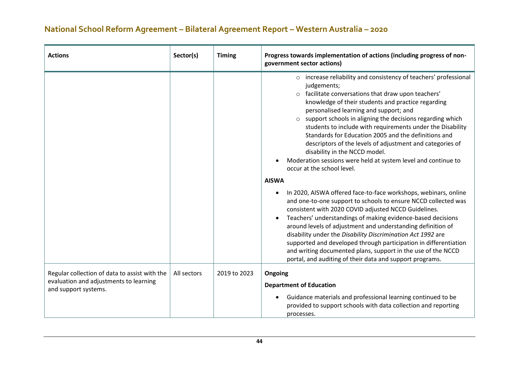| <b>Actions</b>                                                                                                  | Sector(s)   | <b>Timing</b> | Progress towards implementation of actions (including progress of non-<br>government sector actions)                                                                                                                                                                                                                                                                                                                                                                                                                                                                                                                                                                                                                                                                                                                                                                                                                                                                                                                                                                                                                                                                                                                                                                  |
|-----------------------------------------------------------------------------------------------------------------|-------------|---------------|-----------------------------------------------------------------------------------------------------------------------------------------------------------------------------------------------------------------------------------------------------------------------------------------------------------------------------------------------------------------------------------------------------------------------------------------------------------------------------------------------------------------------------------------------------------------------------------------------------------------------------------------------------------------------------------------------------------------------------------------------------------------------------------------------------------------------------------------------------------------------------------------------------------------------------------------------------------------------------------------------------------------------------------------------------------------------------------------------------------------------------------------------------------------------------------------------------------------------------------------------------------------------|
|                                                                                                                 |             |               | o increase reliability and consistency of teachers' professional<br>judgements;<br>o facilitate conversations that draw upon teachers'<br>knowledge of their students and practice regarding<br>personalised learning and support; and<br>support schools in aligning the decisions regarding which<br>$\circ$<br>students to include with requirements under the Disability<br>Standards for Education 2005 and the definitions and<br>descriptors of the levels of adjustment and categories of<br>disability in the NCCD model.<br>Moderation sessions were held at system level and continue to<br>occur at the school level.<br><b>AISWA</b><br>In 2020, AISWA offered face-to-face workshops, webinars, online<br>$\bullet$<br>and one-to-one support to schools to ensure NCCD collected was<br>consistent with 2020 COVID adjusted NCCD Guidelines.<br>Teachers' understandings of making evidence-based decisions<br>$\bullet$<br>around levels of adjustment and understanding definition of<br>disability under the Disability Discrimination Act 1992 are<br>supported and developed through participation in differentiation<br>and writing documented plans, support in the use of the NCCD<br>portal, and auditing of their data and support programs. |
| Regular collection of data to assist with the<br>evaluation and adjustments to learning<br>and support systems. | All sectors | 2019 to 2023  | Ongoing<br><b>Department of Education</b><br>Guidance materials and professional learning continued to be<br>$\bullet$                                                                                                                                                                                                                                                                                                                                                                                                                                                                                                                                                                                                                                                                                                                                                                                                                                                                                                                                                                                                                                                                                                                                                |
|                                                                                                                 |             |               | provided to support schools with data collection and reporting<br>processes.                                                                                                                                                                                                                                                                                                                                                                                                                                                                                                                                                                                                                                                                                                                                                                                                                                                                                                                                                                                                                                                                                                                                                                                          |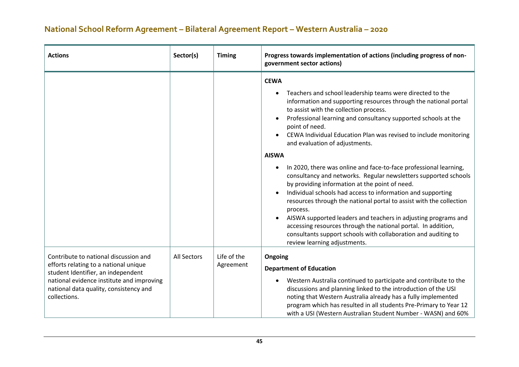| <b>Actions</b>                                                                                                                                                                                                              | Sector(s)   | <b>Timing</b>            | Progress towards implementation of actions (including progress of non-<br>government sector actions)                                                                                                                                                                                                                                                                                                                                                                                                                                                                                                                                                                                                                                                                                                                                                                                                                                                                                                                                  |
|-----------------------------------------------------------------------------------------------------------------------------------------------------------------------------------------------------------------------------|-------------|--------------------------|---------------------------------------------------------------------------------------------------------------------------------------------------------------------------------------------------------------------------------------------------------------------------------------------------------------------------------------------------------------------------------------------------------------------------------------------------------------------------------------------------------------------------------------------------------------------------------------------------------------------------------------------------------------------------------------------------------------------------------------------------------------------------------------------------------------------------------------------------------------------------------------------------------------------------------------------------------------------------------------------------------------------------------------|
|                                                                                                                                                                                                                             |             |                          | <b>CEWA</b><br>Teachers and school leadership teams were directed to the<br>$\bullet$<br>information and supporting resources through the national portal<br>to assist with the collection process.<br>Professional learning and consultancy supported schools at the<br>$\bullet$<br>point of need.<br>CEWA Individual Education Plan was revised to include monitoring<br>and evaluation of adjustments.<br><b>AISWA</b><br>In 2020, there was online and face-to-face professional learning,<br>$\bullet$<br>consultancy and networks. Regular newsletters supported schools<br>by providing information at the point of need.<br>Individual schools had access to information and supporting<br>resources through the national portal to assist with the collection<br>process.<br>AISWA supported leaders and teachers in adjusting programs and<br>$\bullet$<br>accessing resources through the national portal. In addition,<br>consultants support schools with collaboration and auditing to<br>review learning adjustments. |
| Contribute to national discussion and<br>efforts relating to a national unique<br>student Identifier, an independent<br>national evidence institute and improving<br>national data quality, consistency and<br>collections. | All Sectors | Life of the<br>Agreement | Ongoing<br><b>Department of Education</b><br>Western Australia continued to participate and contribute to the<br>$\bullet$<br>discussions and planning linked to the introduction of the USI<br>noting that Western Australia already has a fully implemented<br>program which has resulted in all students Pre-Primary to Year 12<br>with a USI (Western Australian Student Number - WASN) and 60%                                                                                                                                                                                                                                                                                                                                                                                                                                                                                                                                                                                                                                   |